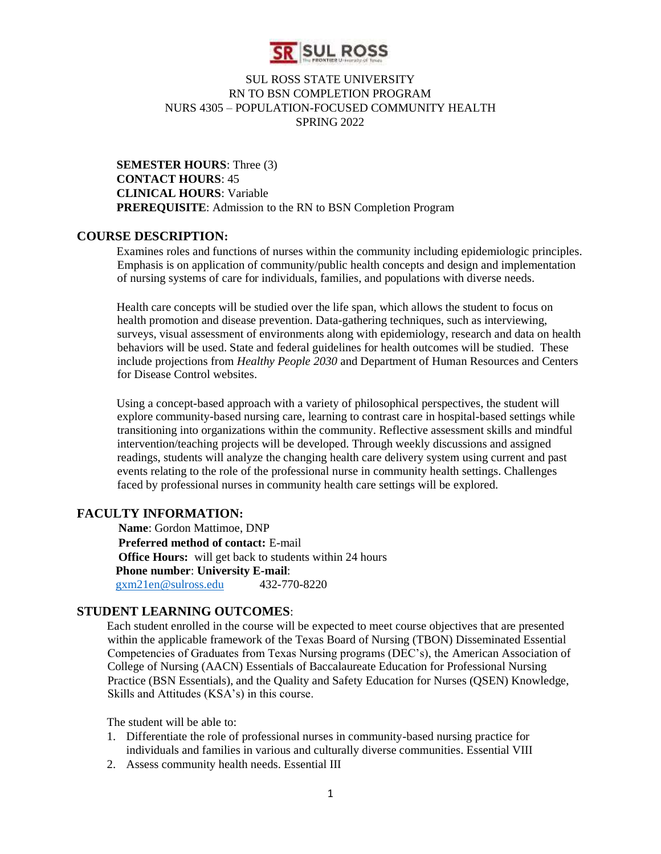

**SEMESTER HOURS**: Three (3) **CONTACT HOURS**: 45 **CLINICAL HOURS**: Variable **PREREQUISITE**: Admission to the RN to BSN Completion Program

#### **COURSE DESCRIPTION:**

Examines roles and functions of nurses within the community including epidemiologic principles. Emphasis is on application of community/public health concepts and design and implementation of nursing systems of care for individuals, families, and populations with diverse needs.

Health care concepts will be studied over the life span, which allows the student to focus on health promotion and disease prevention. Data-gathering techniques, such as interviewing, surveys, visual assessment of environments along with epidemiology, research and data on health behaviors will be used. State and federal guidelines for health outcomes will be studied. These include projections from *Healthy People 2030* and Department of Human Resources and Centers for Disease Control websites.

Using a concept-based approach with a variety of philosophical perspectives, the student will explore community-based nursing care, learning to contrast care in hospital-based settings while transitioning into organizations within the community. Reflective assessment skills and mindful intervention/teaching projects will be developed. Through weekly discussions and assigned readings, students will analyze the changing health care delivery system using current and past events relating to the role of the professional nurse in community health settings. Challenges faced by professional nurses in community health care settings will be explored.

#### **FACULTY INFORMATION:**

 **Name**: Gordon Mattimoe, DNP **Preferred method of contact:** E-mail **Office Hours:** will get back to students within 24 hours **Phone number**: **University E-mail**: [gxm21en@sulross.edu](mailto:gxm21en@sulross.edu) 432-770-8220

# **STUDENT LEARNING OUTCOMES**:

Each student enrolled in the course will be expected to meet course objectives that are presented within the applicable framework of the Texas Board of Nursing (TBON) Disseminated Essential Competencies of Graduates from Texas Nursing programs (DEC's), the American Association of College of Nursing (AACN) Essentials of Baccalaureate Education for Professional Nursing Practice (BSN Essentials), and the Quality and Safety Education for Nurses (QSEN) Knowledge, Skills and Attitudes (KSA's) in this course.

The student will be able to:

- 1. Differentiate the role of professional nurses in community-based nursing practice for individuals and families in various and culturally diverse communities. Essential VIII
- 2. Assess community health needs. Essential III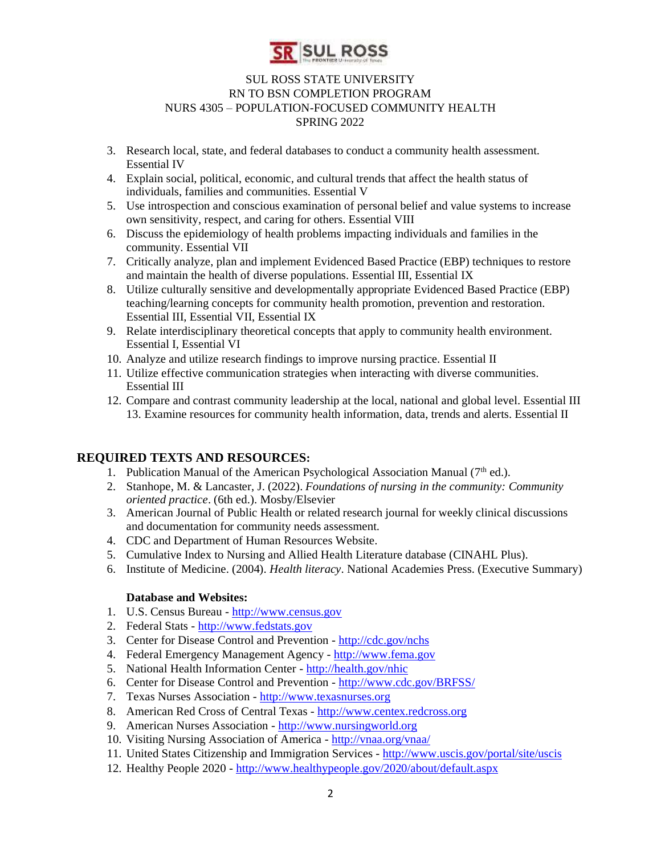

- 3. Research local, state, and federal databases to conduct a community health assessment. Essential IV
- 4. Explain social, political, economic, and cultural trends that affect the health status of individuals, families and communities. Essential V
- 5. Use introspection and conscious examination of personal belief and value systems to increase own sensitivity, respect, and caring for others. Essential VIII
- 6. Discuss the epidemiology of health problems impacting individuals and families in the community. Essential VII
- 7. Critically analyze, plan and implement Evidenced Based Practice (EBP) techniques to restore and maintain the health of diverse populations. Essential III, Essential IX
- 8. Utilize culturally sensitive and developmentally appropriate Evidenced Based Practice (EBP) teaching/learning concepts for community health promotion, prevention and restoration. Essential III, Essential VII, Essential IX
- 9. Relate interdisciplinary theoretical concepts that apply to community health environment. Essential I, Essential VI
- 10. Analyze and utilize research findings to improve nursing practice. Essential II
- 11. Utilize effective communication strategies when interacting with diverse communities. Essential III
- 12. Compare and contrast community leadership at the local, national and global level. Essential III 13. Examine resources for community health information, data, trends and alerts. Essential II

# **REQUIRED TEXTS AND RESOURCES:**

- 1. Publication Manual of the American Psychological Association Manual  $(7<sup>th</sup>$  ed.).
- 2. Stanhope, M. & Lancaster, J. (2022). *Foundations of nursing in the community: Community oriented practice*. (6th ed.). Mosby/Elsevier
- 3. American Journal of Public Health or related research journal for weekly clinical discussions and documentation for community needs assessment.
- 4. CDC and Department of Human Resources Website.
- 5. Cumulative Index to Nursing and Allied Health Literature database (CINAHL Plus).
- 6. Institute of Medicine. (2004). *Health literacy*. National Academies Press. (Executive Summary)

#### **Database and Websites:**

- 1. U.S. Census Bureau [-](http://www.census.gov/) [http://www.census.gov](http://www.census.gov/)
- 2. Federal Stats [-](http://www.fedstats.gov/) [http://www.fedstats.gov](http://www.fedstats.gov/)
- 3. Center for Disease Control and Prevention [-](http://cdc.gov/nchs) <http://cdc.gov/nchs>
- 4. Federal Emergency Management Agency [-](http://www.fema.gov/) [http://www.fema.gov](http://www.fema.gov/)
- 5. National Health Information Center [-](http://health.gov/nhic) <http://health.gov/nhic>
- 6. Center for Disease Control and Prevention [-](http://www.cdc.gov/BRFSS/) <http://www.cdc.gov/BRFSS/>
- 7. Texas Nurses Association [-](http://www.texasnurses.org/) [http://www.texasnurses.org](http://www.texasnurses.org/)
- 8. American Red Cross of Central Texas [-](http://www.centex.redcross.org/) [http://www.centex.redcross.org](http://www.centex.redcross.org/)
- 9. American Nurses Association [http://www.nursingworld.org](http://www.nursingworld.org/)
- 10. Visiting Nursing Association of America [-](http://vnaa.org/vnaa/) <http://vnaa.org/vnaa/>
- 11. United States Citizenship and Immigration Services [-](http://www.uscis.gov/portal/site/uscis) <http://www.uscis.gov/portal/site/uscis>
- 12. Healthy People 2020 [-](http://www.healthypeople.gov/2020/about/default.aspx) <http://www.healthypeople.gov/2020/about/default.aspx>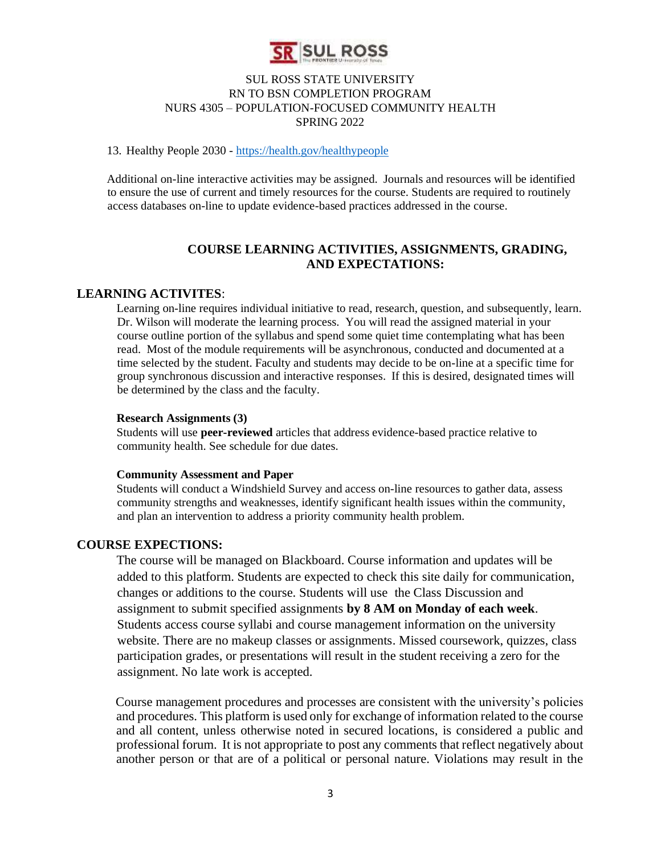

#### 13. Healthy People 2030 - <https://health.gov/healthypeople>

Additional on-line interactive activities may be assigned. Journals and resources will be identified to ensure the use of current and timely resources for the course. Students are required to routinely access databases on-line to update evidence-based practices addressed in the course.

# **COURSE LEARNING ACTIVITIES, ASSIGNMENTS, GRADING, AND EXPECTATIONS:**

#### **LEARNING ACTIVITES**:

Learning on-line requires individual initiative to read, research, question, and subsequently, learn. Dr. Wilson will moderate the learning process. You will read the assigned material in your course outline portion of the syllabus and spend some quiet time contemplating what has been read. Most of the module requirements will be asynchronous, conducted and documented at a time selected by the student. Faculty and students may decide to be on-line at a specific time for group synchronous discussion and interactive responses. If this is desired, designated times will be determined by the class and the faculty.

#### **Research Assignments (3)**

Students will use **peer-reviewed** articles that address evidence-based practice relative to community health. See schedule for due dates.

#### **Community Assessment and Paper**

Students will conduct a Windshield Survey and access on-line resources to gather data, assess community strengths and weaknesses, identify significant health issues within the community, and plan an intervention to address a priority community health problem.

#### **COURSE EXPECTIONS:**

The course will be managed on Blackboard. Course information and updates will be added to this platform. Students are expected to check this site daily for communication, changes or additions to the course. Students will use the Class Discussion and assignment to submit specified assignments **by 8 AM on Monday of each week**. Students access course syllabi and course management information on the university website. There are no makeup classes or assignments. Missed coursework, quizzes, class participation grades, or presentations will result in the student receiving a zero for the assignment. No late work is accepted.

Course management procedures and processes are consistent with the university's policies and procedures. This platform is used only for exchange of information related to the course and all content, unless otherwise noted in secured locations, is considered a public and professional forum. It is not appropriate to post any comments that reflect negatively about another person or that are of a political or personal nature. Violations may result in the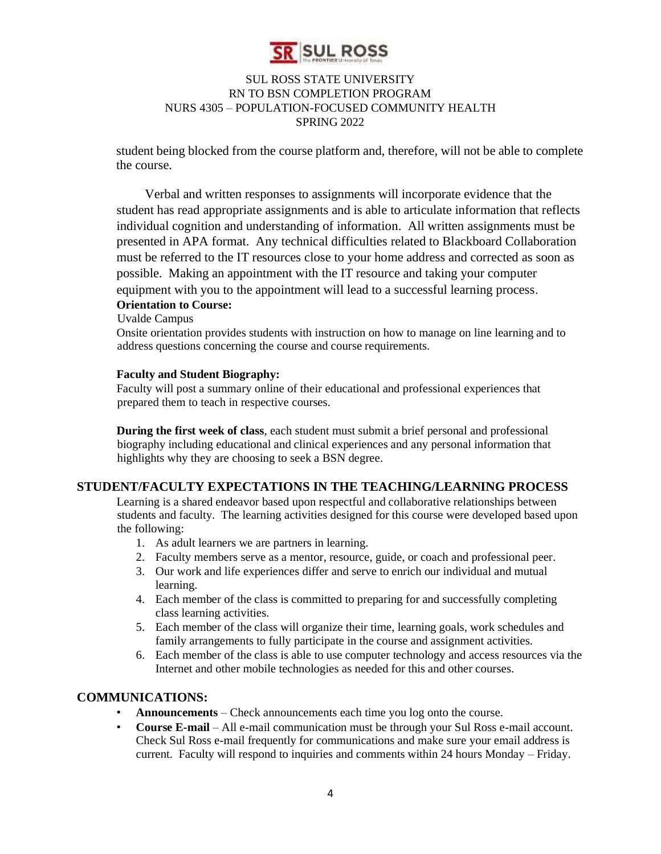

student being blocked from the course platform and, therefore, will not be able to complete the course.

Verbal and written responses to assignments will incorporate evidence that the student has read appropriate assignments and is able to articulate information that reflects individual cognition and understanding of information. All written assignments must be presented in APA format. Any technical difficulties related to Blackboard Collaboration must be referred to the IT resources close to your home address and corrected as soon as possible. Making an appointment with the IT resource and taking your computer equipment with you to the appointment will lead to a successful learning process.

# **Orientation to Course:**

Uvalde Campus

Onsite orientation provides students with instruction on how to manage on line learning and to address questions concerning the course and course requirements.

#### **Faculty and Student Biography:**

Faculty will post a summary online of their educational and professional experiences that prepared them to teach in respective courses.

**During the first week of class**, each student must submit a brief personal and professional biography including educational and clinical experiences and any personal information that highlights why they are choosing to seek a BSN degree.

# **STUDENT/FACULTY EXPECTATIONS IN THE TEACHING/LEARNING PROCESS**

Learning is a shared endeavor based upon respectful and collaborative relationships between students and faculty. The learning activities designed for this course were developed based upon the following:

- 1. As adult learners we are partners in learning.
- 2. Faculty members serve as a mentor, resource, guide, or coach and professional peer.
- 3. Our work and life experiences differ and serve to enrich our individual and mutual learning.
- 4. Each member of the class is committed to preparing for and successfully completing class learning activities.
- 5. Each member of the class will organize their time, learning goals, work schedules and family arrangements to fully participate in the course and assignment activities.
- 6. Each member of the class is able to use computer technology and access resources via the Internet and other mobile technologies as needed for this and other courses.

# **COMMUNICATIONS:**

- **Announcements** Check announcements each time you log onto the course.
- **Course E-mail** All e-mail communication must be through your Sul Ross e-mail account. Check Sul Ross e-mail frequently for communications and make sure your email address is current. Faculty will respond to inquiries and comments within 24 hours Monday – Friday.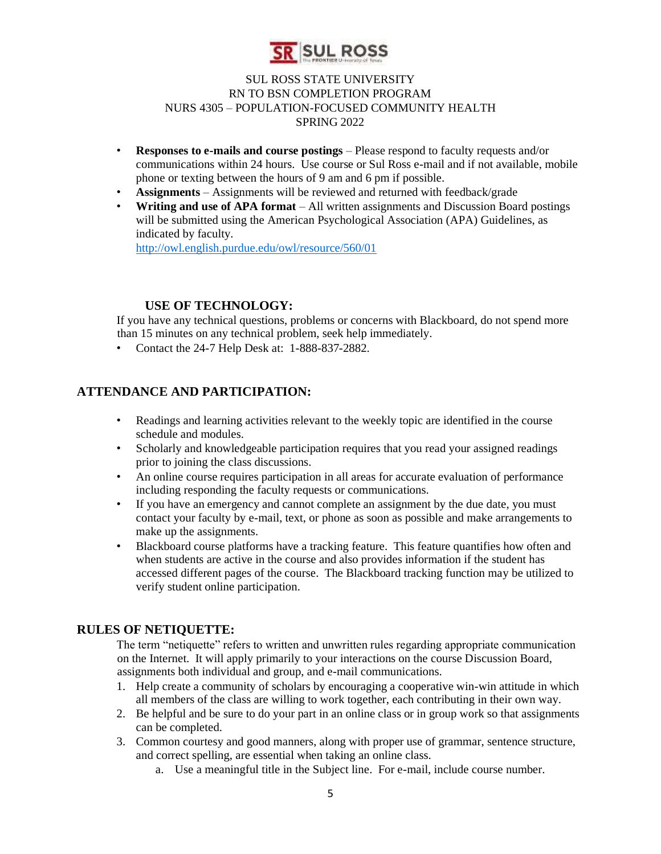

- **Responses to e-mails and course postings** Please respond to faculty requests and/or communications within 24 hours. Use course or Sul Ross e-mail and if not available, mobile phone or texting between the hours of 9 am and 6 pm if possible.
- **Assignments**  Assignments will be reviewed and returned with feedback/grade
- **Writing and use of APA format**  All written assignments and Discussion Board postings will be submitted using the American Psychological Association (APA) Guidelines, as indicated by faculty.

<http://owl.english.purdue.edu/owl/resource/560/01>

# **USE OF TECHNOLOGY:**

If you have any technical questions, problems or concerns with Blackboard, do not spend more than 15 minutes on any technical problem, seek help immediately.

• Contact the 24-7 Help Desk at: 1-888-837-2882.

# **ATTENDANCE AND PARTICIPATION:**

- Readings and learning activities relevant to the weekly topic are identified in the course schedule and modules.
- Scholarly and knowledgeable participation requires that you read your assigned readings prior to joining the class discussions.
- An online course requires participation in all areas for accurate evaluation of performance including responding the faculty requests or communications.
- If you have an emergency and cannot complete an assignment by the due date, you must contact your faculty by e-mail, text, or phone as soon as possible and make arrangements to make up the assignments.
- Blackboard course platforms have a tracking feature. This feature quantifies how often and when students are active in the course and also provides information if the student has accessed different pages of the course. The Blackboard tracking function may be utilized to verify student online participation.

# **RULES OF NETIQUETTE:**

The term "netiquette" refers to written and unwritten rules regarding appropriate communication on the Internet. It will apply primarily to your interactions on the course Discussion Board, assignments both individual and group, and e-mail communications.

- 1. Help create a community of scholars by encouraging a cooperative win-win attitude in which all members of the class are willing to work together, each contributing in their own way.
- 2. Be helpful and be sure to do your part in an online class or in group work so that assignments can be completed.
- 3. Common courtesy and good manners, along with proper use of grammar, sentence structure, and correct spelling, are essential when taking an online class.
	- a. Use a meaningful title in the Subject line. For e-mail, include course number.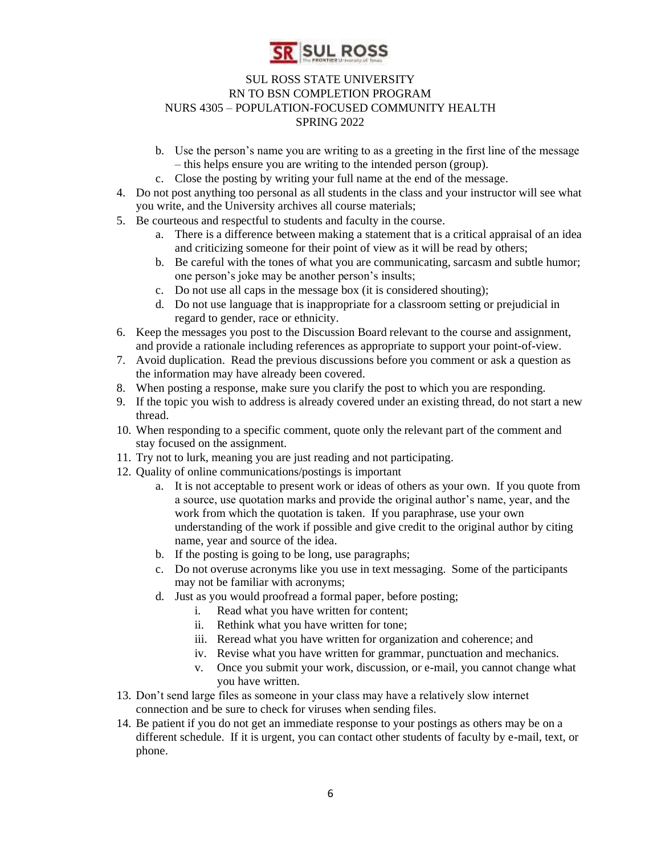

- b. Use the person's name you are writing to as a greeting in the first line of the message – this helps ensure you are writing to the intended person (group).
- c. Close the posting by writing your full name at the end of the message.
- 4. Do not post anything too personal as all students in the class and your instructor will see what you write, and the University archives all course materials;
- 5. Be courteous and respectful to students and faculty in the course.
	- a. There is a difference between making a statement that is a critical appraisal of an idea and criticizing someone for their point of view as it will be read by others;
	- b. Be careful with the tones of what you are communicating, sarcasm and subtle humor; one person's joke may be another person's insults;
	- c. Do not use all caps in the message box (it is considered shouting);
	- d. Do not use language that is inappropriate for a classroom setting or prejudicial in regard to gender, race or ethnicity.
- 6. Keep the messages you post to the Discussion Board relevant to the course and assignment, and provide a rationale including references as appropriate to support your point-of-view.
- 7. Avoid duplication. Read the previous discussions before you comment or ask a question as the information may have already been covered.
- 8. When posting a response, make sure you clarify the post to which you are responding.
- 9. If the topic you wish to address is already covered under an existing thread, do not start a new thread.
- 10. When responding to a specific comment, quote only the relevant part of the comment and stay focused on the assignment.
- 11. Try not to lurk, meaning you are just reading and not participating.
- 12. Quality of online communications/postings is important
	- a. It is not acceptable to present work or ideas of others as your own. If you quote from a source, use quotation marks and provide the original author's name, year, and the work from which the quotation is taken. If you paraphrase, use your own understanding of the work if possible and give credit to the original author by citing name, year and source of the idea.
	- b. If the posting is going to be long, use paragraphs;
	- c. Do not overuse acronyms like you use in text messaging. Some of the participants may not be familiar with acronyms;
	- d. Just as you would proofread a formal paper, before posting;
		- i. Read what you have written for content;
		- ii. Rethink what you have written for tone;
		- iii. Reread what you have written for organization and coherence; and
		- iv. Revise what you have written for grammar, punctuation and mechanics.
		- v. Once you submit your work, discussion, or e-mail, you cannot change what you have written.
- 13. Don't send large files as someone in your class may have a relatively slow internet connection and be sure to check for viruses when sending files.
- 14. Be patient if you do not get an immediate response to your postings as others may be on a different schedule. If it is urgent, you can contact other students of faculty by e-mail, text, or phone.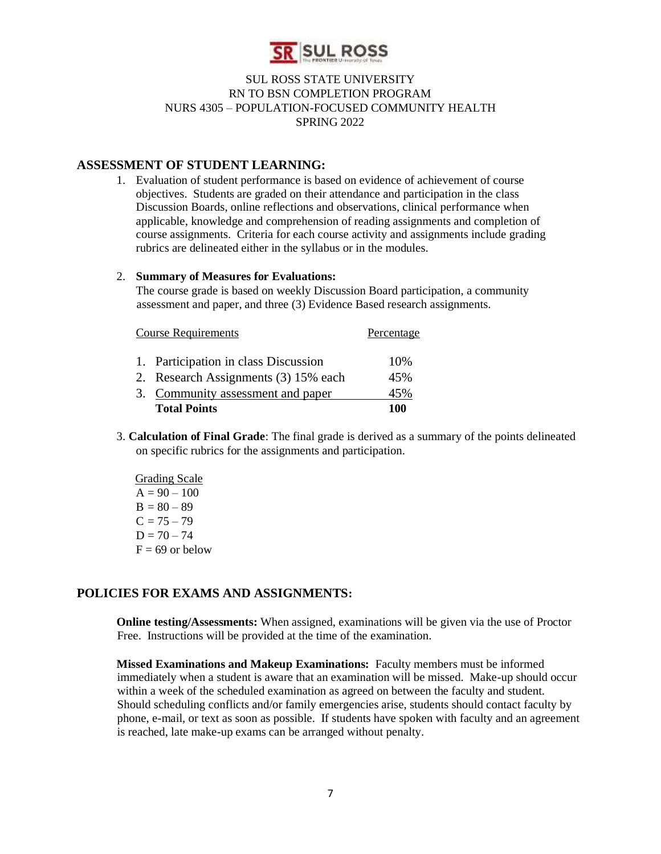

#### **ASSESSMENT OF STUDENT LEARNING:**

1. Evaluation of student performance is based on evidence of achievement of course objectives. Students are graded on their attendance and participation in the class Discussion Boards, online reflections and observations, clinical performance when applicable, knowledge and comprehension of reading assignments and completion of course assignments. Criteria for each course activity and assignments include grading rubrics are delineated either in the syllabus or in the modules.

#### 2. **Summary of Measures for Evaluations:**

The course grade is based on weekly Discussion Board participation, a community assessment and paper, and three (3) Evidence Based research assignments.

| <b>Course Requirements</b>           | Percentage |
|--------------------------------------|------------|
| 1. Participation in class Discussion | 10%        |
| 2. Research Assignments (3) 15% each | 45%        |
| 3. Community assessment and paper    | 45%        |
| <b>Total Points</b>                  | 100        |

- 3. **Calculation of Final Grade**: The final grade is derived as a summary of the points delineated on specific rubrics for the assignments and participation.
	- Grading Scale  $A = 90 - 100$  $B = 80 - 89$  $C = 75 - 79$  $D = 70 - 74$  $F = 69$  or below

# **POLICIES FOR EXAMS AND ASSIGNMENTS:**

**Online testing/Assessments:** When assigned, examinations will be given via the use of Proctor Free. Instructions will be provided at the time of the examination.

**Missed Examinations and Makeup Examinations:** Faculty members must be informed immediately when a student is aware that an examination will be missed. Make-up should occur within a week of the scheduled examination as agreed on between the faculty and student. Should scheduling conflicts and/or family emergencies arise, students should contact faculty by phone, e-mail, or text as soon as possible. If students have spoken with faculty and an agreement is reached, late make-up exams can be arranged without penalty.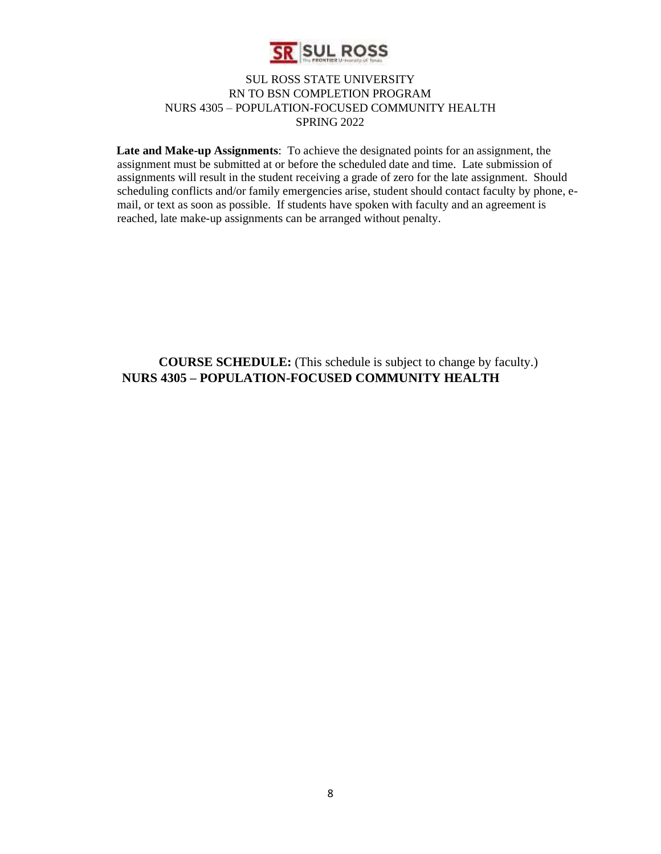

**Late and Make-up Assignments**: To achieve the designated points for an assignment, the assignment must be submitted at or before the scheduled date and time. Late submission of assignments will result in the student receiving a grade of zero for the late assignment. Should scheduling conflicts and/or family emergencies arise, student should contact faculty by phone, email, or text as soon as possible. If students have spoken with faculty and an agreement is reached, late make-up assignments can be arranged without penalty.

**COURSE SCHEDULE:** (This schedule is subject to change by faculty.) **NURS 4305 – POPULATION-FOCUSED COMMUNITY HEALTH**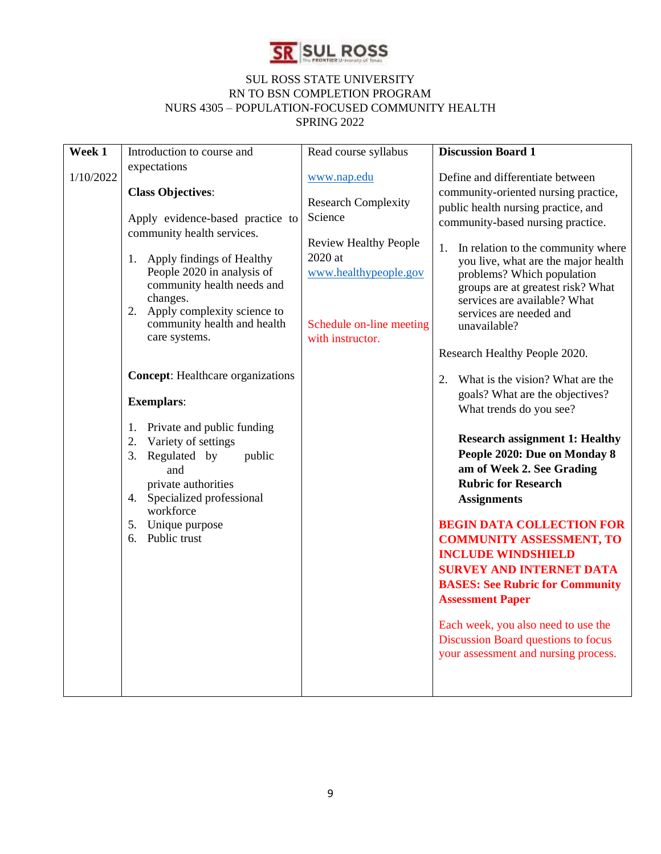

| Week 1    | Introduction to course and                                                                                                                                                                                                                                                                              | Read course syllabus                                                                                                                                                       | <b>Discussion Board 1</b>                                                                                                                                                                                                                                                                                                                                                                                                                                                                                                                                                                 |
|-----------|---------------------------------------------------------------------------------------------------------------------------------------------------------------------------------------------------------------------------------------------------------------------------------------------------------|----------------------------------------------------------------------------------------------------------------------------------------------------------------------------|-------------------------------------------------------------------------------------------------------------------------------------------------------------------------------------------------------------------------------------------------------------------------------------------------------------------------------------------------------------------------------------------------------------------------------------------------------------------------------------------------------------------------------------------------------------------------------------------|
| 1/10/2022 | expectations<br><b>Class Objectives:</b><br>Apply evidence-based practice to<br>community health services.<br>Apply findings of Healthy<br>1.<br>People 2020 in analysis of<br>community health needs and<br>changes.<br>2. Apply complexity science to<br>community health and health<br>care systems. | www.nap.edu<br><b>Research Complexity</b><br>Science<br><b>Review Healthy People</b><br>$2020$ at<br>www.healthypeople.gov<br>Schedule on-line meeting<br>with instructor. | Define and differentiate between<br>community-oriented nursing practice,<br>public health nursing practice, and<br>community-based nursing practice.<br>In relation to the community where<br>1.<br>you live, what are the major health<br>problems? Which population<br>groups are at greatest risk? What<br>services are available? What<br>services are needed and<br>unavailable?                                                                                                                                                                                                     |
|           | <b>Concept:</b> Healthcare organizations<br><b>Exemplars:</b><br>Private and public funding<br>1.<br>Variety of settings<br>2.<br>Regulated by<br>public<br>3.<br>and<br>private authorities<br>4. Specialized professional<br>workforce<br>5. Unique purpose<br>6. Public trust                        |                                                                                                                                                                            | Research Healthy People 2020.<br>What is the vision? What are the<br>2.<br>goals? What are the objectives?<br>What trends do you see?<br><b>Research assignment 1: Healthy</b><br>People 2020: Due on Monday 8<br>am of Week 2. See Grading<br><b>Rubric for Research</b><br><b>Assignments</b><br><b>BEGIN DATA COLLECTION FOR</b><br><b>COMMUNITY ASSESSMENT, TO</b><br><b>INCLUDE WINDSHIELD</b><br><b>SURVEY AND INTERNET DATA</b><br><b>BASES: See Rubric for Community</b><br><b>Assessment Paper</b><br>Each week, you also need to use the<br>Discussion Board questions to focus |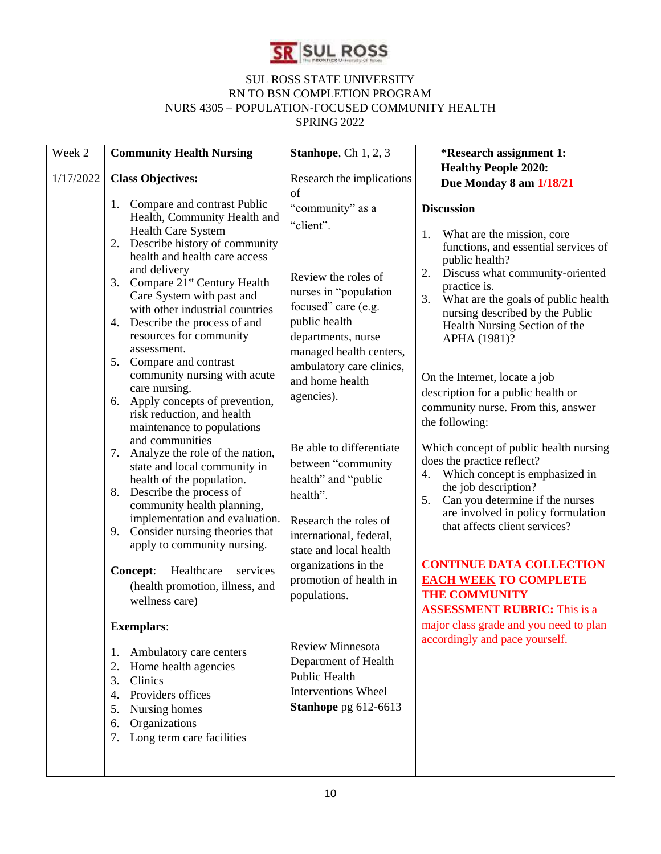

| Week 2    | <b>Community Health Nursing</b>                                                                                                                                                                                                                                                                                                                                                                                                                                                                                                                    | Stanhope, Ch 1, 2, 3                                                                                                                                                                                                                | *Research assignment 1:                                                                                                                                                                                                                                                                                                                                                                                                                  |
|-----------|----------------------------------------------------------------------------------------------------------------------------------------------------------------------------------------------------------------------------------------------------------------------------------------------------------------------------------------------------------------------------------------------------------------------------------------------------------------------------------------------------------------------------------------------------|-------------------------------------------------------------------------------------------------------------------------------------------------------------------------------------------------------------------------------------|------------------------------------------------------------------------------------------------------------------------------------------------------------------------------------------------------------------------------------------------------------------------------------------------------------------------------------------------------------------------------------------------------------------------------------------|
| 1/17/2022 | <b>Class Objectives:</b>                                                                                                                                                                                                                                                                                                                                                                                                                                                                                                                           | Research the implications<br>of                                                                                                                                                                                                     | <b>Healthy People 2020:</b><br>Due Monday 8 am 1/18/21                                                                                                                                                                                                                                                                                                                                                                                   |
|           | 1. Compare and contrast Public<br>Health, Community Health and<br>Health Care System<br>Describe history of community<br>2.<br>health and health care access<br>and delivery<br>3. Compare 21 <sup>st</sup> Century Health<br>Care System with past and<br>with other industrial countries<br>4. Describe the process of and<br>resources for community<br>assessment.<br>5. Compare and contrast<br>community nursing with acute<br>care nursing.<br>6. Apply concepts of prevention,<br>risk reduction, and health<br>maintenance to populations | "community" as a<br>"client".<br>Review the roles of<br>nurses in "population<br>focused" care (e.g.<br>public health<br>departments, nurse<br>managed health centers,<br>ambulatory care clinics,<br>and home health<br>agencies). | <b>Discussion</b><br>What are the mission, core<br>1.<br>functions, and essential services of<br>public health?<br>Discuss what community-oriented<br>2.<br>practice is.<br>What are the goals of public health<br>3.<br>nursing described by the Public<br>Health Nursing Section of the<br>APHA (1981)?<br>On the Internet, locate a job<br>description for a public health or<br>community nurse. From this, answer<br>the following: |
|           | and communities<br>Analyze the role of the nation,<br>7.<br>state and local community in<br>health of the population.<br>Describe the process of<br>8.<br>community health planning,<br>implementation and evaluation.<br>9. Consider nursing theories that<br>apply to community nursing.<br>Healthcare<br>Concept:<br>services<br>(health promotion, illness, and                                                                                                                                                                                | Be able to differentiate<br>between "community<br>health" and "public<br>health".<br>Research the roles of<br>international, federal,<br>state and local health<br>organizations in the<br>promotion of health in                   | Which concept of public health nursing<br>does the practice reflect?<br>Which concept is emphasized in<br>4.<br>the job description?<br>5.<br>Can you determine if the nurses<br>are involved in policy formulation<br>that affects client services?<br><b>CONTINUE DATA COLLECTION</b><br><b>EACH WEEK TO COMPLETE</b>                                                                                                                  |
|           | wellness care)<br><b>Exemplars:</b><br>Ambulatory care centers<br>1.<br>Home health agencies<br>2.<br>Clinics<br>3.<br>Providers offices<br>4.<br>Nursing homes<br>5.<br>Organizations<br>6.<br>Long term care facilities<br>7.                                                                                                                                                                                                                                                                                                                    | populations.<br><b>Review Minnesota</b><br>Department of Health<br>Public Health<br><b>Interventions Wheel</b><br>Stanhope pg 612-6613                                                                                              | <b>THE COMMUNITY</b><br><b>ASSESSMENT RUBRIC:</b> This is a<br>major class grade and you need to plan<br>accordingly and pace yourself.                                                                                                                                                                                                                                                                                                  |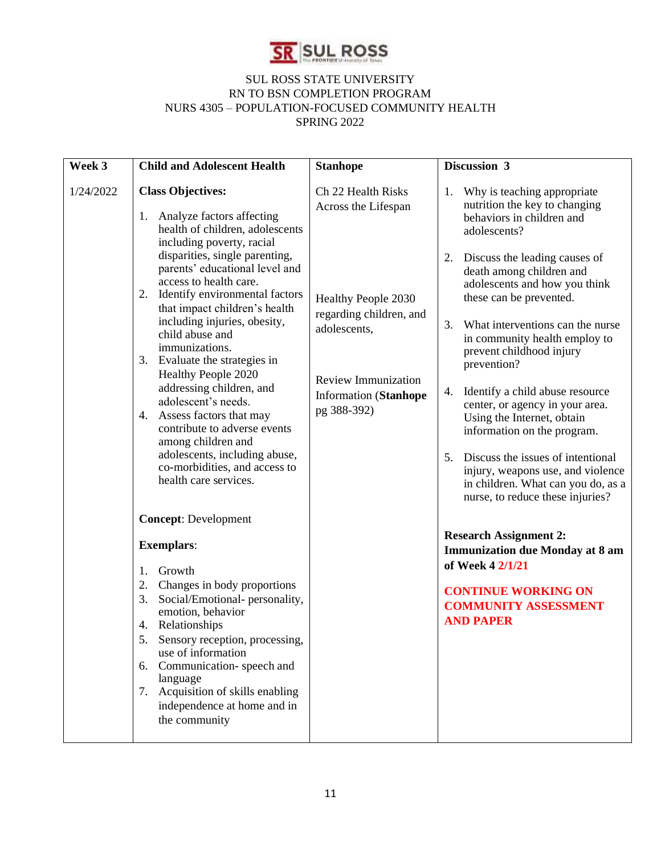

| Week 3    | <b>Child and Adolescent Health</b>                                                                                                                                                                                                                                                                                                                                                                                                                                                                                                                                                                                                                                                                                                                                                                                                                                                                                                                                                                                                                          | <b>Stanhope</b>                                                                                                                                                                          | Discussion 3                                                                                                                                                                                                                                                                                                                                                                                                                                                                                                                                                                                                                                                                                                                                                                                                                                         |
|-----------|-------------------------------------------------------------------------------------------------------------------------------------------------------------------------------------------------------------------------------------------------------------------------------------------------------------------------------------------------------------------------------------------------------------------------------------------------------------------------------------------------------------------------------------------------------------------------------------------------------------------------------------------------------------------------------------------------------------------------------------------------------------------------------------------------------------------------------------------------------------------------------------------------------------------------------------------------------------------------------------------------------------------------------------------------------------|------------------------------------------------------------------------------------------------------------------------------------------------------------------------------------------|------------------------------------------------------------------------------------------------------------------------------------------------------------------------------------------------------------------------------------------------------------------------------------------------------------------------------------------------------------------------------------------------------------------------------------------------------------------------------------------------------------------------------------------------------------------------------------------------------------------------------------------------------------------------------------------------------------------------------------------------------------------------------------------------------------------------------------------------------|
| 1/24/2022 | <b>Class Objectives:</b><br>Analyze factors affecting<br>1.<br>health of children, adolescents<br>including poverty, racial<br>disparities, single parenting,<br>parents' educational level and<br>access to health care.<br>2.<br>Identify environmental factors<br>that impact children's health<br>including injuries, obesity,<br>child abuse and<br>immunizations.<br>3. Evaluate the strategies in<br>Healthy People 2020<br>addressing children, and<br>adolescent's needs.<br>4. Assess factors that may<br>contribute to adverse events<br>among children and<br>adolescents, including abuse,<br>co-morbidities, and access to<br>health care services.<br><b>Concept: Development</b><br><b>Exemplars:</b><br>Growth<br>1.<br>Changes in body proportions<br>2.<br>3.<br>Social/Emotional-personality,<br>emotion, behavior<br>4. Relationships<br>Sensory reception, processing,<br>5.<br>use of information<br>Communication-speech and<br>6.<br>language<br>7. Acquisition of skills enabling<br>independence at home and in<br>the community | Ch 22 Health Risks<br>Across the Lifespan<br>Healthy People 2030<br>regarding children, and<br>adolescents,<br><b>Review Immunization</b><br><b>Information</b> (Stanhope<br>pg 388-392) | Why is teaching appropriate<br>1.<br>nutrition the key to changing<br>behaviors in children and<br>adolescents?<br>2. Discuss the leading causes of<br>death among children and<br>adolescents and how you think<br>these can be prevented.<br>3.<br>What interventions can the nurse<br>in community health employ to<br>prevent childhood injury<br>prevention?<br>Identify a child abuse resource<br>4.<br>center, or agency in your area.<br>Using the Internet, obtain<br>information on the program.<br>Discuss the issues of intentional<br>5.<br>injury, weapons use, and violence<br>in children. What can you do, as a<br>nurse, to reduce these injuries?<br><b>Research Assignment 2:</b><br><b>Immunization due Monday at 8 am</b><br>of Week 4 2/1/21<br><b>CONTINUE WORKING ON</b><br><b>COMMUNITY ASSESSMENT</b><br><b>AND PAPER</b> |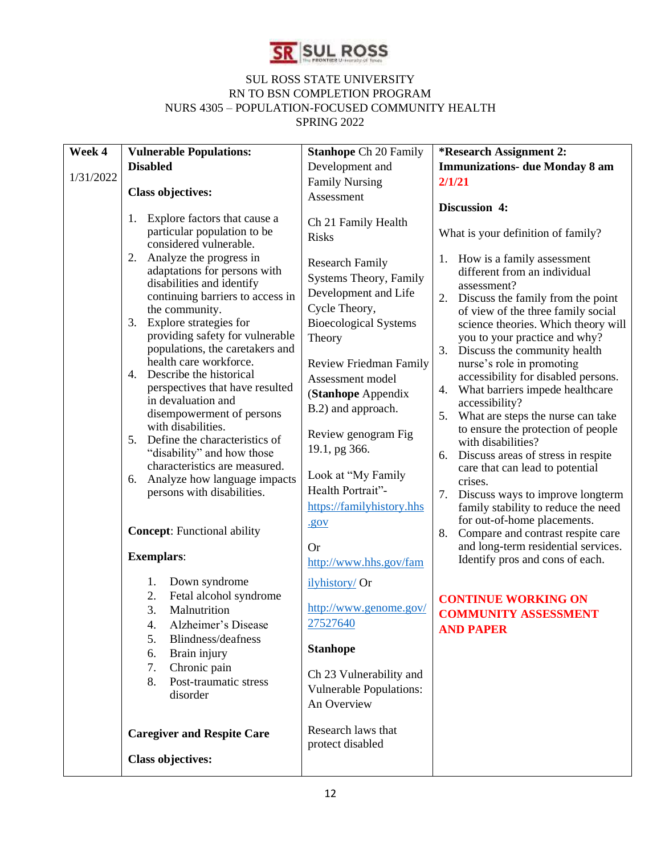

| Week 4    | <b>Vulnerable Populations:</b>                                                                                                                                                                                                                                                                                                                                                                                                                                                                                                                                                                                                                                        | <b>Stanhope Ch 20 Family</b>                                                                                                                                                                                                                                                                                                                                   | *Research Assignment 2:                                                                                                                                                                                                                                                                                                                                                                                                                                                                                                                                                                                                                                            |
|-----------|-----------------------------------------------------------------------------------------------------------------------------------------------------------------------------------------------------------------------------------------------------------------------------------------------------------------------------------------------------------------------------------------------------------------------------------------------------------------------------------------------------------------------------------------------------------------------------------------------------------------------------------------------------------------------|----------------------------------------------------------------------------------------------------------------------------------------------------------------------------------------------------------------------------------------------------------------------------------------------------------------------------------------------------------------|--------------------------------------------------------------------------------------------------------------------------------------------------------------------------------------------------------------------------------------------------------------------------------------------------------------------------------------------------------------------------------------------------------------------------------------------------------------------------------------------------------------------------------------------------------------------------------------------------------------------------------------------------------------------|
|           | <b>Disabled</b>                                                                                                                                                                                                                                                                                                                                                                                                                                                                                                                                                                                                                                                       | Development and                                                                                                                                                                                                                                                                                                                                                | <b>Immunizations- due Monday 8 am</b>                                                                                                                                                                                                                                                                                                                                                                                                                                                                                                                                                                                                                              |
| 1/31/2022 | <b>Class objectives:</b>                                                                                                                                                                                                                                                                                                                                                                                                                                                                                                                                                                                                                                              | <b>Family Nursing</b>                                                                                                                                                                                                                                                                                                                                          | 2/1/21                                                                                                                                                                                                                                                                                                                                                                                                                                                                                                                                                                                                                                                             |
|           |                                                                                                                                                                                                                                                                                                                                                                                                                                                                                                                                                                                                                                                                       | Assessment                                                                                                                                                                                                                                                                                                                                                     |                                                                                                                                                                                                                                                                                                                                                                                                                                                                                                                                                                                                                                                                    |
|           | Explore factors that cause a<br>1.<br>particular population to be<br>considered vulnerable.<br>Analyze the progress in<br>2.<br>adaptations for persons with<br>disabilities and identify<br>continuing barriers to access in<br>the community.<br>Explore strategies for<br>3.<br>providing safety for vulnerable<br>populations, the caretakers and<br>health care workforce.<br>4. Describe the historical<br>perspectives that have resulted<br>in devaluation and<br>disempowerment of persons<br>with disabilities.<br>Define the characteristics of<br>5.<br>"disability" and how those<br>characteristics are measured.<br>Analyze how language impacts<br>6. | Ch 21 Family Health<br><b>Risks</b><br><b>Research Family</b><br>Systems Theory, Family<br>Development and Life<br>Cycle Theory,<br><b>Bioecological Systems</b><br>Theory<br><b>Review Friedman Family</b><br>Assessment model<br>(Stanhope Appendix<br>B.2) and approach.<br>Review genogram Fig<br>19.1, pg 366.<br>Look at "My Family<br>Health Portrait"- | Discussion 4:<br>What is your definition of family?<br>1. How is a family assessment<br>different from an individual<br>assessment?<br>Discuss the family from the point<br>2.<br>of view of the three family social<br>science theories. Which theory will<br>you to your practice and why?<br>3.<br>Discuss the community health<br>nurse's role in promoting<br>accessibility for disabled persons.<br>What barriers impede healthcare<br>4.<br>accessibility?<br>5.<br>What are steps the nurse can take<br>to ensure the protection of people<br>with disabilities?<br>Discuss areas of stress in respite<br>6.<br>care that can lead to potential<br>crises. |
|           | persons with disabilities.<br><b>Concept:</b> Functional ability                                                                                                                                                                                                                                                                                                                                                                                                                                                                                                                                                                                                      | https://familyhistory.hhs<br><u>.gov</u><br><b>Or</b>                                                                                                                                                                                                                                                                                                          | 7.<br>Discuss ways to improve longterm<br>family stability to reduce the need<br>for out-of-home placements.<br>Compare and contrast respite care<br>8.<br>and long-term residential services.                                                                                                                                                                                                                                                                                                                                                                                                                                                                     |
|           | <b>Exemplars:</b>                                                                                                                                                                                                                                                                                                                                                                                                                                                                                                                                                                                                                                                     | http://www.hhs.gov/fam                                                                                                                                                                                                                                                                                                                                         | Identify pros and cons of each.                                                                                                                                                                                                                                                                                                                                                                                                                                                                                                                                                                                                                                    |
|           | Down syndrome<br>1.<br>Fetal alcohol syndrome<br>2.<br>3.<br>Malnutrition<br>Alzheimer's Disease<br>4.<br>5.<br>Blindness/deafness<br>Brain injury<br>6.<br>Chronic pain<br>7.<br>Post-traumatic stress<br>8.<br>disorder                                                                                                                                                                                                                                                                                                                                                                                                                                             | ilyhistory/ Or<br>http://www.genome.gov/<br>27527640<br><b>Stanhope</b><br>Ch 23 Vulnerability and<br><b>Vulnerable Populations:</b><br>An Overview                                                                                                                                                                                                            | <b>CONTINUE WORKING ON</b><br><b>COMMUNITY ASSESSMENT</b><br><b>AND PAPER</b>                                                                                                                                                                                                                                                                                                                                                                                                                                                                                                                                                                                      |
|           | <b>Caregiver and Respite Care</b><br><b>Class objectives:</b>                                                                                                                                                                                                                                                                                                                                                                                                                                                                                                                                                                                                         | Research laws that<br>protect disabled                                                                                                                                                                                                                                                                                                                         |                                                                                                                                                                                                                                                                                                                                                                                                                                                                                                                                                                                                                                                                    |
|           |                                                                                                                                                                                                                                                                                                                                                                                                                                                                                                                                                                                                                                                                       |                                                                                                                                                                                                                                                                                                                                                                |                                                                                                                                                                                                                                                                                                                                                                                                                                                                                                                                                                                                                                                                    |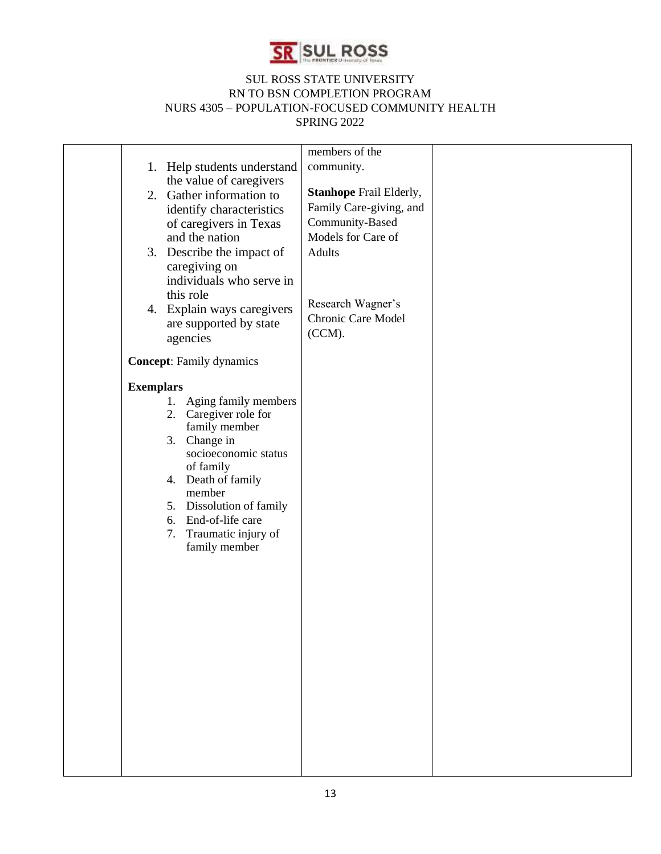

|                                          | members of the                 |  |
|------------------------------------------|--------------------------------|--|
| 1. Help students understand              | community.                     |  |
| the value of caregivers                  | <b>Stanhope Frail Elderly,</b> |  |
| 2. Gather information to                 | Family Care-giving, and        |  |
| identify characteristics                 | Community-Based                |  |
| of caregivers in Texas<br>and the nation | Models for Care of             |  |
| 3. Describe the impact of                | <b>Adults</b>                  |  |
| caregiving on                            |                                |  |
| individuals who serve in                 |                                |  |
| this role                                |                                |  |
| 4. Explain ways caregivers               | Research Wagner's              |  |
| are supported by state                   | Chronic Care Model             |  |
| agencies                                 | (CCM).                         |  |
|                                          |                                |  |
| <b>Concept:</b> Family dynamics          |                                |  |
| <b>Exemplars</b>                         |                                |  |
| 1. Aging family members                  |                                |  |
| 2. Caregiver role for                    |                                |  |
| family member                            |                                |  |
| 3. Change in                             |                                |  |
| socioeconomic status<br>of family        |                                |  |
| 4. Death of family                       |                                |  |
| member                                   |                                |  |
| 5. Dissolution of family                 |                                |  |
| 6. End-of-life care                      |                                |  |
| Traumatic injury of<br>7.                |                                |  |
| family member                            |                                |  |
|                                          |                                |  |
|                                          |                                |  |
|                                          |                                |  |
|                                          |                                |  |
|                                          |                                |  |
|                                          |                                |  |
|                                          |                                |  |
|                                          |                                |  |
|                                          |                                |  |
|                                          |                                |  |
|                                          |                                |  |
|                                          |                                |  |
|                                          |                                |  |
|                                          |                                |  |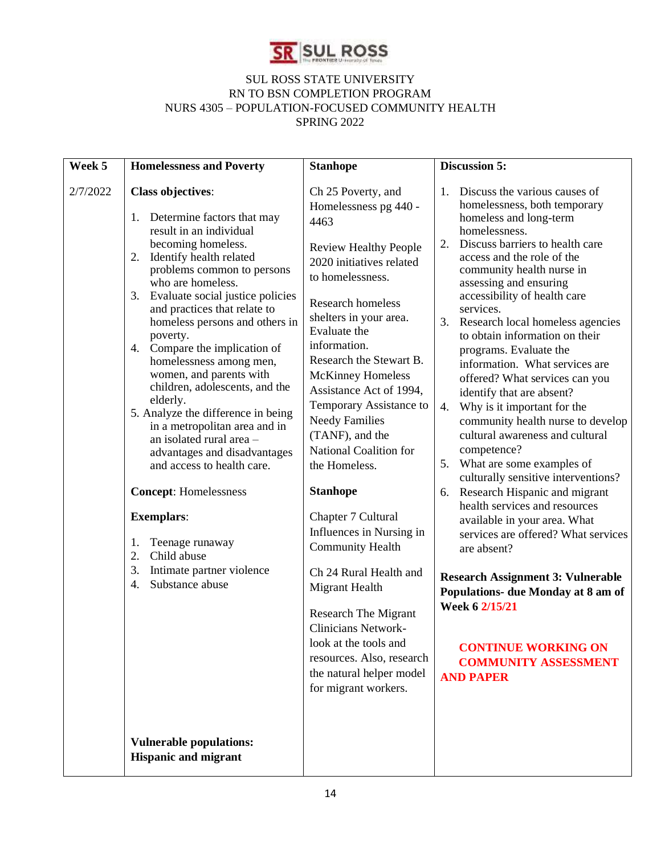

| Week 5   | <b>Homelessness and Poverty</b>                                                                                                                                                                                                                                                                                                                                                                                                                                                                                                                                                                                                                                                                                                                                                       | <b>Stanhope</b>                                                                                                                                                                                                                                                                                                                                                                                                                                                                                                                                                                                                                                                                                                                           | <b>Discussion 5:</b>                                                                                                                                                                                                                                                                                                                                                                                                                                                                                                                                                                                                                                                                                                                                                                                                                                                                                                                                                                                                                                |
|----------|---------------------------------------------------------------------------------------------------------------------------------------------------------------------------------------------------------------------------------------------------------------------------------------------------------------------------------------------------------------------------------------------------------------------------------------------------------------------------------------------------------------------------------------------------------------------------------------------------------------------------------------------------------------------------------------------------------------------------------------------------------------------------------------|-------------------------------------------------------------------------------------------------------------------------------------------------------------------------------------------------------------------------------------------------------------------------------------------------------------------------------------------------------------------------------------------------------------------------------------------------------------------------------------------------------------------------------------------------------------------------------------------------------------------------------------------------------------------------------------------------------------------------------------------|-----------------------------------------------------------------------------------------------------------------------------------------------------------------------------------------------------------------------------------------------------------------------------------------------------------------------------------------------------------------------------------------------------------------------------------------------------------------------------------------------------------------------------------------------------------------------------------------------------------------------------------------------------------------------------------------------------------------------------------------------------------------------------------------------------------------------------------------------------------------------------------------------------------------------------------------------------------------------------------------------------------------------------------------------------|
| 2/7/2022 | <b>Class objectives:</b><br>1. Determine factors that may<br>result in an individual<br>becoming homeless.<br>2. Identify health related<br>problems common to persons<br>who are homeless.<br>3. Evaluate social justice policies<br>and practices that relate to<br>homeless persons and others in<br>poverty.<br>4. Compare the implication of<br>homelessness among men,<br>women, and parents with<br>children, adolescents, and the<br>elderly.<br>5. Analyze the difference in being<br>in a metropolitan area and in<br>an isolated rural area -<br>advantages and disadvantages<br>and access to health care.<br><b>Concept:</b> Homelessness<br><b>Exemplars:</b><br>Teenage runaway<br>1.<br>2.<br>Child abuse<br>Intimate partner violence<br>3.<br>Substance abuse<br>4. | Ch 25 Poverty, and<br>Homelessness pg 440 -<br>4463<br><b>Review Healthy People</b><br>2020 initiatives related<br>to homelessness.<br>Research homeless<br>shelters in your area.<br>Evaluate the<br>information.<br>Research the Stewart B.<br><b>McKinney Homeless</b><br>Assistance Act of 1994,<br>Temporary Assistance to<br><b>Needy Families</b><br>(TANF), and the<br>National Coalition for<br>the Homeless.<br><b>Stanhope</b><br>Chapter 7 Cultural<br>Influences in Nursing in<br><b>Community Health</b><br>Ch 24 Rural Health and<br>Migrant Health<br><b>Research The Migrant</b><br><b>Clinicians Network-</b><br>look at the tools and<br>resources. Also, research<br>the natural helper model<br>for migrant workers. | Discuss the various causes of<br>1.<br>homelessness, both temporary<br>homeless and long-term<br>homelessness.<br>Discuss barriers to health care<br>2.<br>access and the role of the<br>community health nurse in<br>assessing and ensuring<br>accessibility of health care<br>services.<br>3. Research local homeless agencies<br>to obtain information on their<br>programs. Evaluate the<br>information. What services are<br>offered? What services can you<br>identify that are absent?<br>Why is it important for the<br>4.<br>community health nurse to develop<br>cultural awareness and cultural<br>competence?<br>5. What are some examples of<br>culturally sensitive interventions?<br>Research Hispanic and migrant<br>6.<br>health services and resources<br>available in your area. What<br>services are offered? What services<br>are absent?<br><b>Research Assignment 3: Vulnerable</b><br>Populations- due Monday at 8 am of<br>Week 6 2/15/21<br><b>CONTINUE WORKING ON</b><br><b>COMMUNITY ASSESSMENT</b><br><b>AND PAPER</b> |
|          | <b>Vulnerable populations:</b><br><b>Hispanic and migrant</b>                                                                                                                                                                                                                                                                                                                                                                                                                                                                                                                                                                                                                                                                                                                         |                                                                                                                                                                                                                                                                                                                                                                                                                                                                                                                                                                                                                                                                                                                                           |                                                                                                                                                                                                                                                                                                                                                                                                                                                                                                                                                                                                                                                                                                                                                                                                                                                                                                                                                                                                                                                     |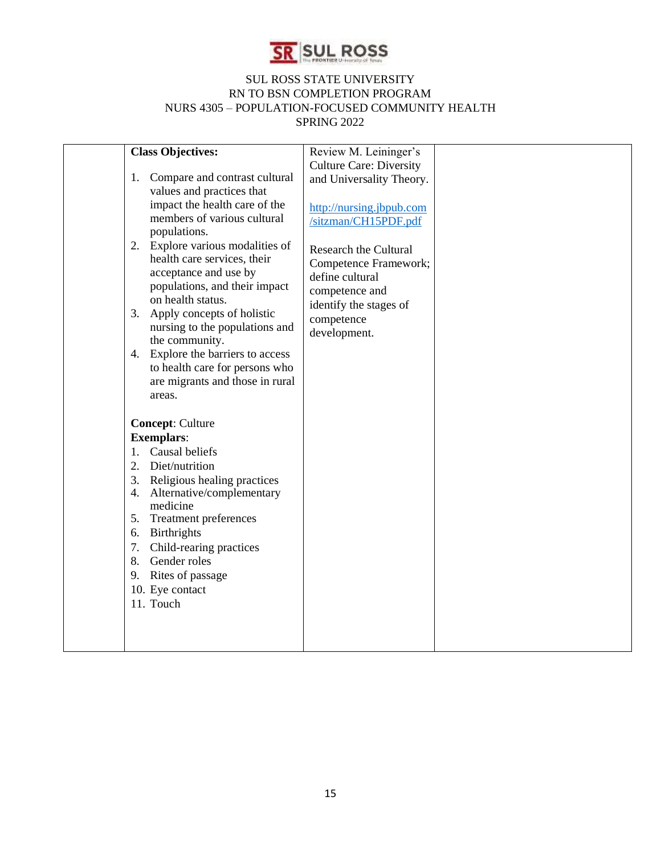

|          | <b>Class Objectives:</b>                           | Review M. Leininger's          |  |
|----------|----------------------------------------------------|--------------------------------|--|
|          |                                                    | <b>Culture Care: Diversity</b> |  |
| 1.       | Compare and contrast cultural                      | and Universality Theory.       |  |
|          | values and practices that                          |                                |  |
|          | impact the health care of the                      | http://nursing.jbpub.com       |  |
|          | members of various cultural                        | /sitzman/CH15PDF.pdf           |  |
|          | populations.                                       |                                |  |
|          | 2. Explore various modalities of                   | <b>Research the Cultural</b>   |  |
|          | health care services, their                        | Competence Framework;          |  |
|          | acceptance and use by                              | define cultural                |  |
|          | populations, and their impact<br>on health status. | competence and                 |  |
| 3.       | Apply concepts of holistic                         | identify the stages of         |  |
|          | nursing to the populations and                     | competence                     |  |
|          | the community.                                     | development.                   |  |
| 4.       | Explore the barriers to access                     |                                |  |
|          | to health care for persons who                     |                                |  |
|          | are migrants and those in rural                    |                                |  |
|          | areas.                                             |                                |  |
|          |                                                    |                                |  |
|          | <b>Concept: Culture</b>                            |                                |  |
|          | <b>Exemplars:</b>                                  |                                |  |
| 1.       | Causal beliefs                                     |                                |  |
| 2.       | Diet/nutrition                                     |                                |  |
|          | 3. Religious healing practices                     |                                |  |
| 4.       | Alternative/complementary                          |                                |  |
|          | medicine                                           |                                |  |
|          | 5. Treatment preferences                           |                                |  |
| 6.<br>7. | Birthrights<br>Child-rearing practices             |                                |  |
| 8.       | Gender roles                                       |                                |  |
| 9.       | Rites of passage                                   |                                |  |
|          | 10. Eye contact                                    |                                |  |
|          | 11. Touch                                          |                                |  |
|          |                                                    |                                |  |
|          |                                                    |                                |  |
|          |                                                    |                                |  |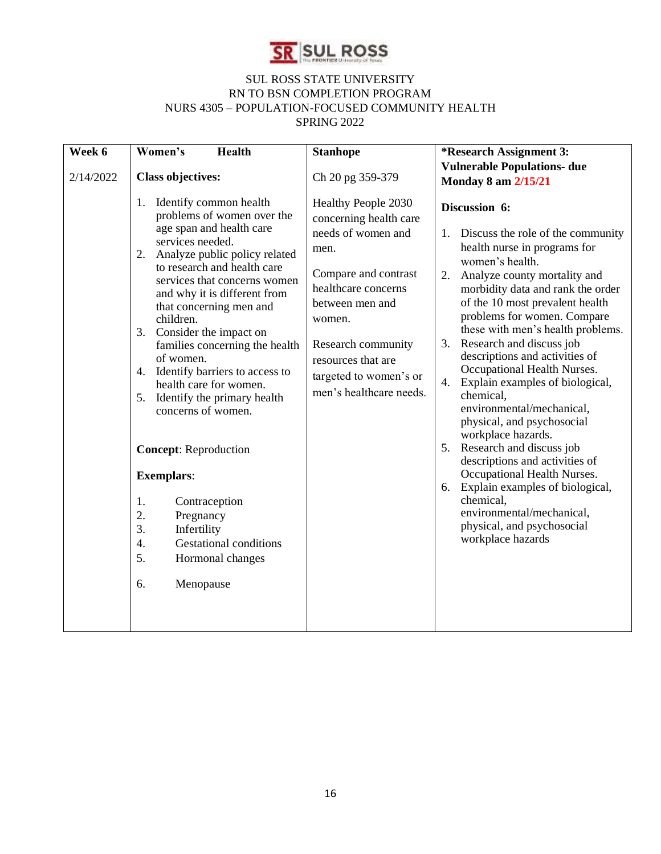

| Week 6    | Women's<br><b>Health</b>                                                                                                                                                                                                                                                                                                                                                                                                                                                                                                                                                                                                                                                                                  | <b>Stanhope</b>                                                                                                                                                                                                                                          | <i>*Research Assignment 3:</i>                                                                                                                                                                                                                                                                                                                                                                                                                                                                                                                                                                                                                                                                                                                                                   |
|-----------|-----------------------------------------------------------------------------------------------------------------------------------------------------------------------------------------------------------------------------------------------------------------------------------------------------------------------------------------------------------------------------------------------------------------------------------------------------------------------------------------------------------------------------------------------------------------------------------------------------------------------------------------------------------------------------------------------------------|----------------------------------------------------------------------------------------------------------------------------------------------------------------------------------------------------------------------------------------------------------|----------------------------------------------------------------------------------------------------------------------------------------------------------------------------------------------------------------------------------------------------------------------------------------------------------------------------------------------------------------------------------------------------------------------------------------------------------------------------------------------------------------------------------------------------------------------------------------------------------------------------------------------------------------------------------------------------------------------------------------------------------------------------------|
| 2/14/2022 | <b>Class objectives:</b>                                                                                                                                                                                                                                                                                                                                                                                                                                                                                                                                                                                                                                                                                  | Ch 20 pg 359-379                                                                                                                                                                                                                                         | <b>Vulnerable Populations- due</b><br><b>Monday 8 am 2/15/21</b>                                                                                                                                                                                                                                                                                                                                                                                                                                                                                                                                                                                                                                                                                                                 |
|           | 1.<br>Identify common health<br>problems of women over the<br>age span and health care<br>services needed.<br>2.<br>Analyze public policy related<br>to research and health care<br>services that concerns women<br>and why it is different from<br>that concerning men and<br>children.<br>3. Consider the impact on<br>families concerning the health<br>of women.<br>Identify barriers to access to<br>4.<br>health care for women.<br>Identify the primary health<br>5.<br>concerns of women.<br><b>Concept:</b> Reproduction<br><b>Exemplars:</b><br>1.<br>Contraception<br>2.<br>Pregnancy<br>3.<br>Infertility<br><b>Gestational conditions</b><br>4.<br>5.<br>Hormonal changes<br>6.<br>Menopause | Healthy People 2030<br>concerning health care<br>needs of women and<br>men.<br>Compare and contrast<br>healthcare concerns<br>between men and<br>women.<br>Research community<br>resources that are<br>targeted to women's or<br>men's healthcare needs. | Discussion 6:<br>Discuss the role of the community<br>1.<br>health nurse in programs for<br>women's health.<br>Analyze county mortality and<br>2.<br>morbidity data and rank the order<br>of the 10 most prevalent health<br>problems for women. Compare<br>these with men's health problems.<br>Research and discuss job<br>3.<br>descriptions and activities of<br>Occupational Health Nurses.<br>4.<br>Explain examples of biological,<br>chemical,<br>environmental/mechanical,<br>physical, and psychosocial<br>workplace hazards.<br>5.<br>Research and discuss job<br>descriptions and activities of<br>Occupational Health Nurses.<br>Explain examples of biological,<br>6.<br>chemical,<br>environmental/mechanical,<br>physical, and psychosocial<br>workplace hazards |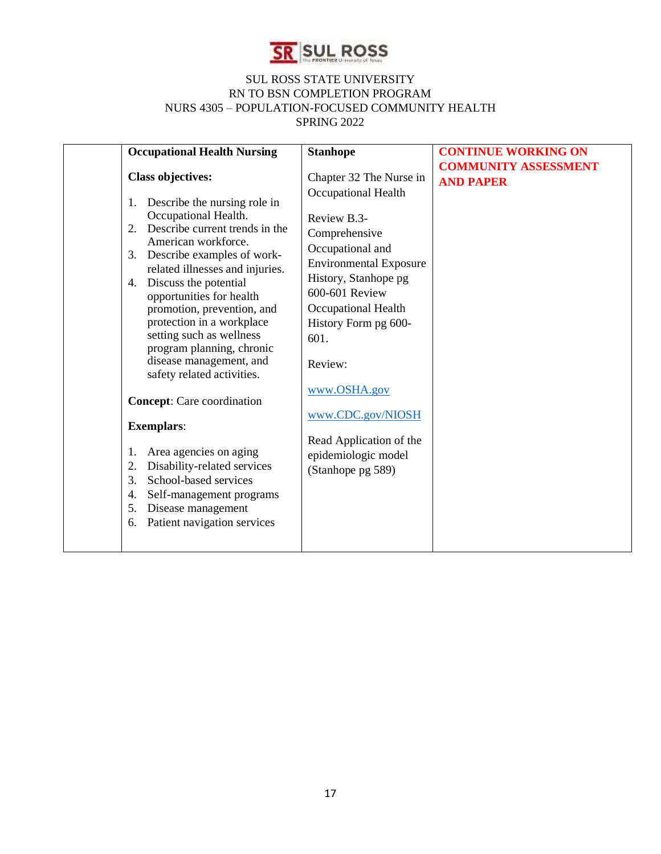

| <b>Occupational Health Nursing</b>                                                                                                                                                                                                                                                                                                                                                                                                                                                                                                                                                                                                                                                                                                    | <b>Stanhope</b>                                                                                                                                                                                                                                                                                                                                             | <b>CONTINUE WORKING ON</b>                      |
|---------------------------------------------------------------------------------------------------------------------------------------------------------------------------------------------------------------------------------------------------------------------------------------------------------------------------------------------------------------------------------------------------------------------------------------------------------------------------------------------------------------------------------------------------------------------------------------------------------------------------------------------------------------------------------------------------------------------------------------|-------------------------------------------------------------------------------------------------------------------------------------------------------------------------------------------------------------------------------------------------------------------------------------------------------------------------------------------------------------|-------------------------------------------------|
| <b>Class objectives:</b><br>Describe the nursing role in<br>1.<br>Occupational Health.<br>Describe current trends in the<br>2.<br>American workforce.<br>Describe examples of work-<br>3.<br>related illnesses and injuries.<br>Discuss the potential<br>4.<br>opportunities for health<br>promotion, prevention, and<br>protection in a workplace<br>setting such as wellness<br>program planning, chronic<br>disease management, and<br>safety related activities.<br><b>Concept:</b> Care coordination<br><b>Exemplars:</b><br>Area agencies on aging<br>1.<br>Disability-related services<br>2.<br>School-based services<br>3.<br>Self-management programs<br>4.<br>Disease management<br>5.<br>Patient navigation services<br>6. | Chapter 32 The Nurse in<br>Occupational Health<br>Review B.3-<br>Comprehensive<br>Occupational and<br><b>Environmental Exposure</b><br>History, Stanhope pg<br>600-601 Review<br>Occupational Health<br>History Form pg 600-<br>601.<br>Review:<br>www.OSHA.gov<br>www.CDC.gov/NIOSH<br>Read Application of the<br>epidemiologic model<br>(Stanhope pg 589) | <b>COMMUNITY ASSESSMENT</b><br><b>AND PAPER</b> |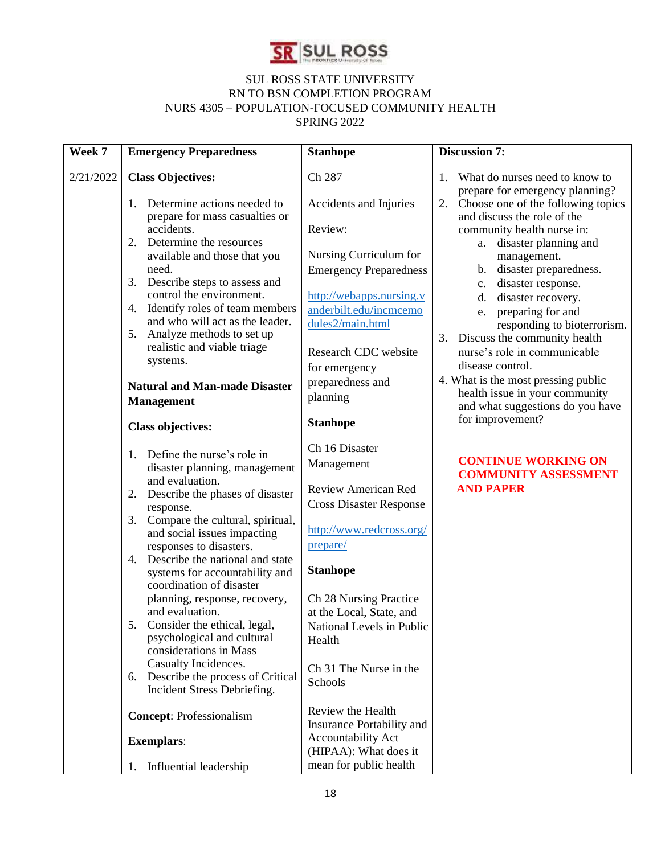

| Week 7    | <b>Emergency Preparedness</b>                                                                    | <b>Stanhope</b>                                        | <b>Discussion 7:</b>                                                    |
|-----------|--------------------------------------------------------------------------------------------------|--------------------------------------------------------|-------------------------------------------------------------------------|
| 2/21/2022 | <b>Class Objectives:</b>                                                                         | Ch 287                                                 | What do nurses need to know to<br>1.<br>prepare for emergency planning? |
|           | Determine actions needed to<br>1.<br>prepare for mass casualties or                              | Accidents and Injuries                                 | Choose one of the following topics<br>2.<br>and discuss the role of the |
|           | accidents.<br>Determine the resources<br>2.                                                      | Review:                                                | community health nurse in:<br>a. disaster planning and                  |
|           | available and those that you                                                                     | Nursing Curriculum for                                 | management.                                                             |
|           | need.<br>3. Describe steps to assess and                                                         | <b>Emergency Preparedness</b>                          | b. disaster preparedness.<br>c. disaster response.                      |
|           | control the environment.<br>4. Identify roles of team members                                    | http://webapps.nursing.v<br>anderbilt.edu/incmcemo     | disaster recovery.<br>$d_{\cdot}$<br>e. preparing for and               |
|           | and who will act as the leader.<br>Analyze methods to set up<br>5.                               | dules2/main.html                                       | responding to bioterrorism.                                             |
|           | realistic and viable triage                                                                      | Research CDC website                                   | Discuss the community health<br>3.<br>nurse's role in communicable      |
|           | systems.                                                                                         | for emergency                                          | disease control.                                                        |
|           | <b>Natural and Man-made Disaster</b><br><b>Management</b>                                        | preparedness and<br>planning                           | 4. What is the most pressing public<br>health issue in your community   |
|           |                                                                                                  | <b>Stanhope</b>                                        | and what suggestions do you have<br>for improvement?                    |
|           | <b>Class objectives:</b>                                                                         |                                                        |                                                                         |
|           | Define the nurse's role in<br>1.                                                                 | Ch 16 Disaster<br>Management                           | <b>CONTINUE WORKING ON</b>                                              |
|           | disaster planning, management<br>and evaluation.                                                 | <b>Review American Red</b>                             | <b>COMMUNITY ASSESSMENT</b><br><b>AND PAPER</b>                         |
|           | Describe the phases of disaster<br>2.<br>response.                                               | <b>Cross Disaster Response</b>                         |                                                                         |
|           | Compare the cultural, spiritual,<br>3.<br>and social issues impacting                            | http://www.redcross.org/                               |                                                                         |
|           | responses to disasters.                                                                          | prepare/                                               |                                                                         |
|           | 4. Describe the national and state<br>systems for accountability and<br>coordination of disaster | <b>Stanhope</b>                                        |                                                                         |
|           | planning, response, recovery,                                                                    | Ch 28 Nursing Practice                                 |                                                                         |
|           | and evaluation.<br>5. Consider the ethical, legal,                                               | at the Local, State, and<br>National Levels in Public  |                                                                         |
|           | psychological and cultural<br>considerations in Mass                                             | Health                                                 |                                                                         |
|           | Casualty Incidences.                                                                             | Ch 31 The Nurse in the                                 |                                                                         |
|           | Describe the process of Critical<br>6.<br>Incident Stress Debriefing.                            | Schools                                                |                                                                         |
|           | <b>Concept: Professionalism</b>                                                                  | Review the Health                                      |                                                                         |
|           | <b>Exemplars:</b>                                                                                | Insurance Portability and<br><b>Accountability Act</b> |                                                                         |
|           |                                                                                                  | (HIPAA): What does it                                  |                                                                         |
|           | Influential leadership<br>1.                                                                     | mean for public health                                 |                                                                         |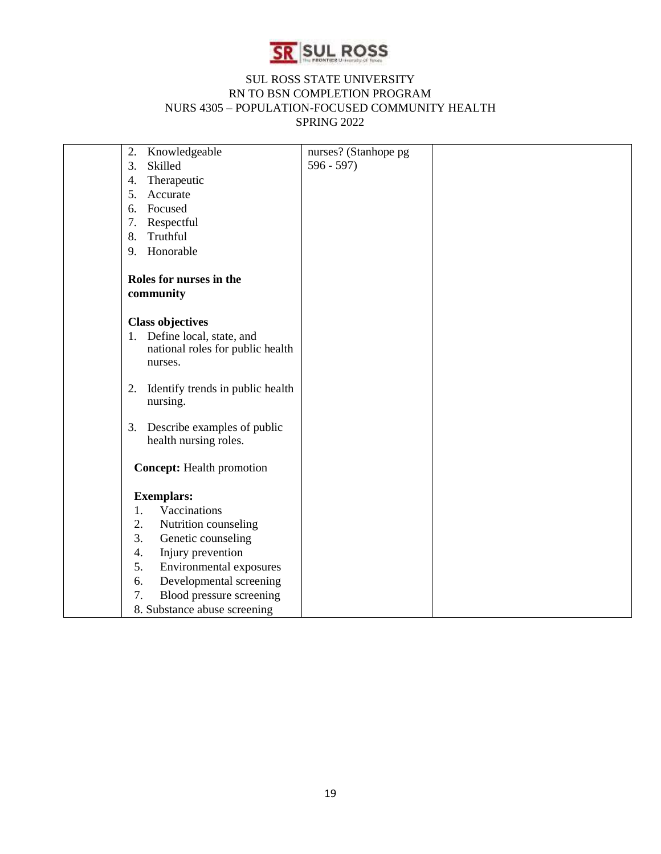

| Knowledgeable<br>2.               |                                  | nurses? (Stanhope pg |  |
|-----------------------------------|----------------------------------|----------------------|--|
| 3.<br>Skilled                     |                                  | $596 - 597$          |  |
| Therapeutic<br>4.                 |                                  |                      |  |
| Accurate<br>5.                    |                                  |                      |  |
| Focused<br>6.                     |                                  |                      |  |
| Respectful<br>7.                  |                                  |                      |  |
| Truthful<br>8.                    |                                  |                      |  |
| Honorable<br>9.                   |                                  |                      |  |
| Roles for nurses in the           |                                  |                      |  |
| community                         |                                  |                      |  |
|                                   |                                  |                      |  |
| <b>Class objectives</b>           |                                  |                      |  |
| 1. Define local, state, and       |                                  |                      |  |
|                                   | national roles for public health |                      |  |
| nurses.                           |                                  |                      |  |
|                                   |                                  |                      |  |
| 2.                                | Identify trends in public health |                      |  |
| nursing.                          |                                  |                      |  |
| Describe examples of public<br>3. |                                  |                      |  |
| health nursing roles.             |                                  |                      |  |
|                                   |                                  |                      |  |
| <b>Concept:</b> Health promotion  |                                  |                      |  |
|                                   |                                  |                      |  |
| <b>Exemplars:</b>                 |                                  |                      |  |
| Vaccinations<br>1.                |                                  |                      |  |
| 2.<br>Nutrition counseling        |                                  |                      |  |
| 3.<br>Genetic counseling          |                                  |                      |  |
| 4.<br>Injury prevention           |                                  |                      |  |
| 5.                                | Environmental exposures          |                      |  |
| 6.                                | Developmental screening          |                      |  |
| 7.                                | Blood pressure screening         |                      |  |
| 8. Substance abuse screening      |                                  |                      |  |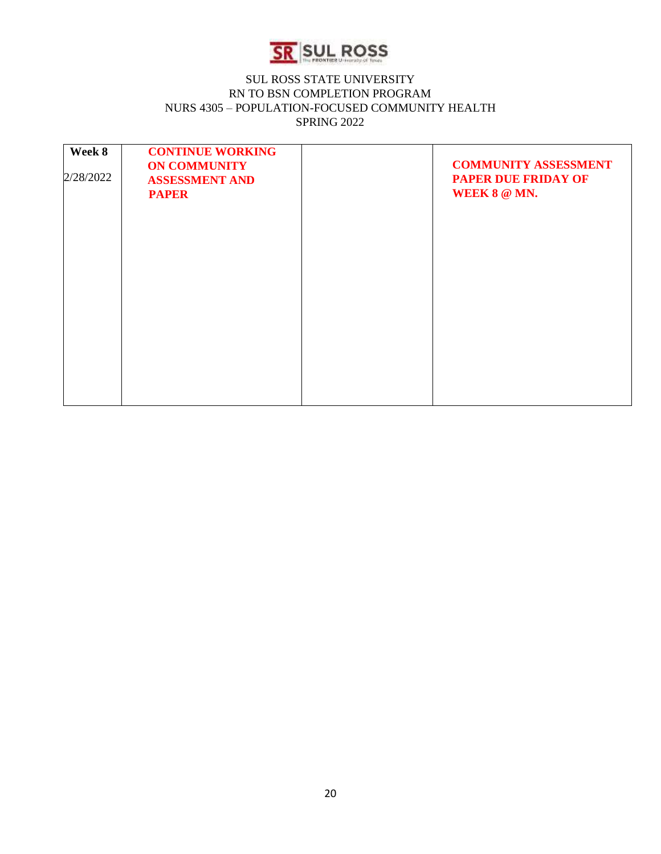

| Week 8<br>2/28/2022 | <b>CONTINUE WORKING</b><br><b>ON COMMUNITY</b><br><b>ASSESSMENT AND</b><br><b>PAPER</b> | <b>COMMUNITY ASSESSMENT</b><br><b>PAPER DUE FRIDAY OF</b><br>WEEK 8 @ MN. |
|---------------------|-----------------------------------------------------------------------------------------|---------------------------------------------------------------------------|
|                     |                                                                                         |                                                                           |
|                     |                                                                                         |                                                                           |
|                     |                                                                                         |                                                                           |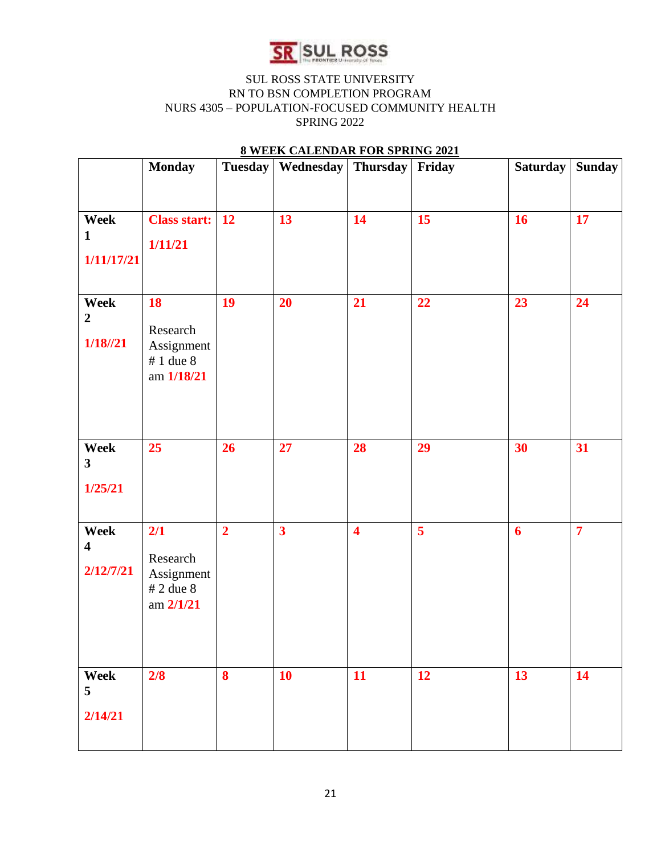

# **Monday Tuesday Wednesday Thursday Friday Saturday Sunday Week 1 1/11/17/21 Class start: 1/11/21 12 13 14 15 16 17 Week 2 1/18//21 18**  Research Assignment # 1 due 8 am **1/18/21** 19 20 21 22 23 24 **Week 3 1/25/21 25 26 27 28 29 30 31 Week 4 2/12/7/21 2/1**  Research Assignment # 2 due 8 am **2/1/21 2 3 4 5 6 7 Week 5 2/14/21 2/8 8 10 11 12 13 14**

### **8 WEEK CALENDAR FOR SPRING 2021**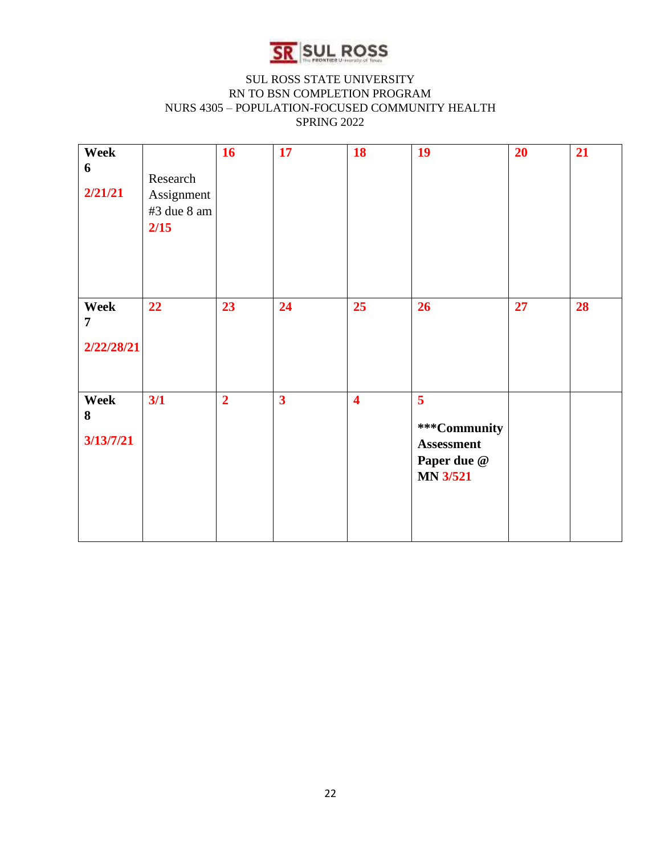

| Week<br>6<br>2/21/21                 | Research<br>Assignment<br>#3 due 8 am<br>2/15 | 16             | 17                      | 18                      | 19                                                                                    | 20 | 21 |
|--------------------------------------|-----------------------------------------------|----------------|-------------------------|-------------------------|---------------------------------------------------------------------------------------|----|----|
| Week<br>$\overline{7}$<br>2/22/28/21 | 22                                            | 23             | 24                      | 25                      | 26                                                                                    | 27 | 28 |
| Week<br>8<br>3/13/7/21               | 3/1                                           | $\overline{2}$ | $\overline{\mathbf{3}}$ | $\overline{\mathbf{4}}$ | 5 <sup>5</sup><br>***Community<br><b>Assessment</b><br>Paper due @<br><b>MN 3/521</b> |    |    |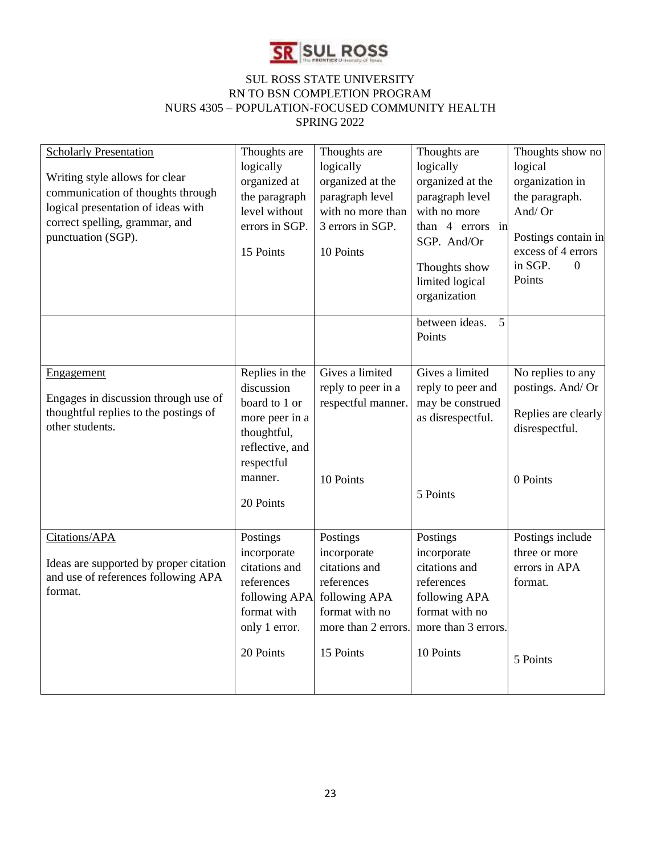

| <b>Scholarly Presentation</b><br>Writing style allows for clear<br>communication of thoughts through<br>logical presentation of ideas with<br>correct spelling, grammar, and<br>punctuation (SGP). | Thoughts are<br>logically<br>organized at<br>the paragraph<br>level without<br>errors in SGP.<br>15 Points                              | Thoughts are<br>logically<br>organized at the<br>paragraph level<br>with no more than<br>3 errors in SGP.<br>10 Points        | Thoughts are<br>logically<br>organized at the<br>paragraph level<br>with no more<br>than 4 errors in<br>SGP. And/Or<br>Thoughts show<br>limited logical<br>organization | Thoughts show no<br>logical<br>organization in<br>the paragraph.<br>And/Or<br>Postings contain in<br>excess of 4 errors<br>in SGP.<br>$\Omega$<br>Points |
|----------------------------------------------------------------------------------------------------------------------------------------------------------------------------------------------------|-----------------------------------------------------------------------------------------------------------------------------------------|-------------------------------------------------------------------------------------------------------------------------------|-------------------------------------------------------------------------------------------------------------------------------------------------------------------------|----------------------------------------------------------------------------------------------------------------------------------------------------------|
|                                                                                                                                                                                                    |                                                                                                                                         |                                                                                                                               | between ideas.<br>5<br>Points                                                                                                                                           |                                                                                                                                                          |
| <b>Engagement</b><br>Engages in discussion through use of<br>thoughtful replies to the postings of<br>other students.                                                                              | Replies in the<br>discussion<br>board to 1 or<br>more peer in a<br>thoughtful,<br>reflective, and<br>respectful<br>manner.<br>20 Points | Gives a limited<br>reply to peer in a<br>respectful manner.<br>10 Points                                                      | Gives a limited<br>reply to peer and<br>may be construed<br>as disrespectful.<br>5 Points                                                                               | No replies to any<br>postings. And/ Or<br>Replies are clearly<br>disrespectful.<br>0 Points                                                              |
| Citations/APA<br>Ideas are supported by proper citation<br>and use of references following APA<br>format.                                                                                          | Postings<br>incorporate<br>citations and<br>references<br>following APA<br>format with<br>only 1 error.<br>20 Points                    | Postings<br>incorporate<br>citations and<br>references<br>following APA<br>format with no<br>more than 2 errors.<br>15 Points | Postings<br>incorporate<br>citations and<br>references<br>following APA<br>format with no<br>more than 3 errors.<br>10 Points                                           | Postings include<br>three or more<br>errors in APA<br>format.<br>5 Points                                                                                |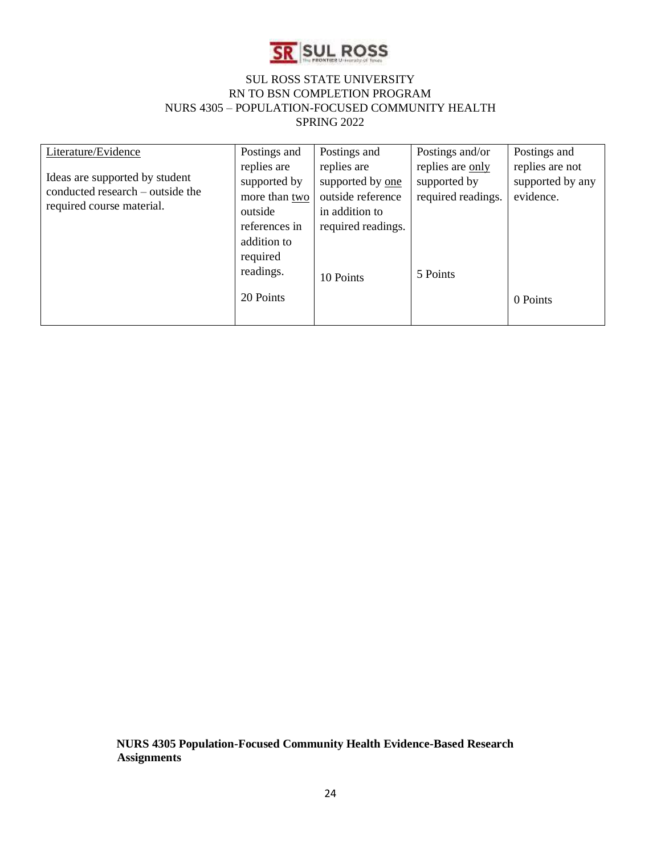

| Literature/Evidence                                                                             | Postings and                                                             | Postings and                                                                                 | Postings and/or                                        | Postings and                                     |
|-------------------------------------------------------------------------------------------------|--------------------------------------------------------------------------|----------------------------------------------------------------------------------------------|--------------------------------------------------------|--------------------------------------------------|
| Ideas are supported by student<br>conducted research – outside the<br>required course material. | replies are<br>supported by<br>more than two<br>outside<br>references in | replies are<br>supported by one<br>outside reference<br>in addition to<br>required readings. | replies are only<br>supported by<br>required readings. | replies are not<br>supported by any<br>evidence. |
|                                                                                                 | addition to<br>required<br>readings.<br>20 Points                        | 10 Points                                                                                    | 5 Points                                               | 0 Points                                         |

**NURS 4305 Population-Focused Community Health Evidence-Based Research Assignments**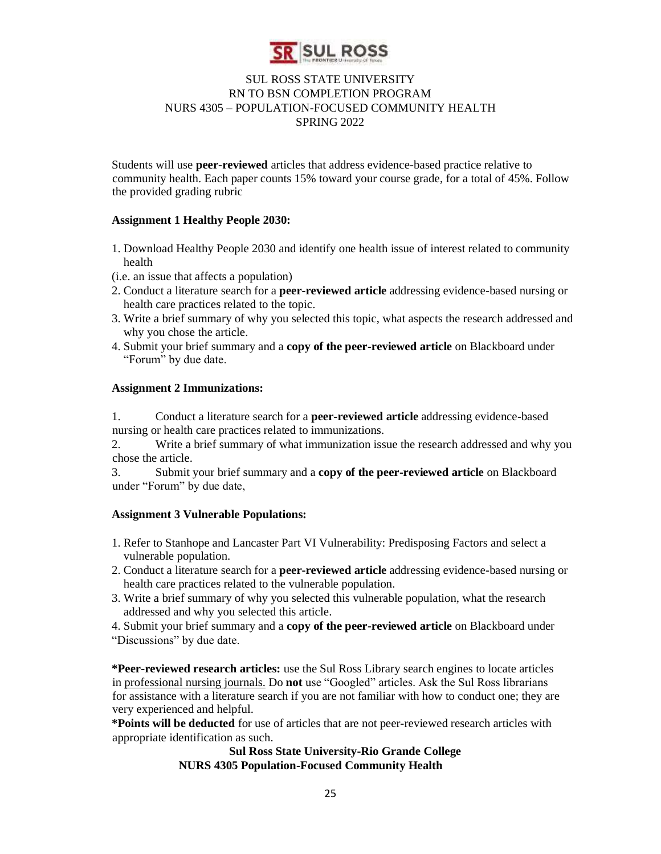

Students will use **peer-reviewed** articles that address evidence-based practice relative to community health. Each paper counts 15% toward your course grade, for a total of 45%. Follow the provided grading rubric

#### **Assignment 1 Healthy People 2030:**

- 1. Download Healthy People 2030 and identify one health issue of interest related to community health
- (i.e. an issue that affects a population)
- 2. Conduct a literature search for a **peer-reviewed article** addressing evidence-based nursing or health care practices related to the topic.
- 3. Write a brief summary of why you selected this topic, what aspects the research addressed and why you chose the article.
- 4. Submit your brief summary and a **copy of the peer-reviewed article** on Blackboard under "Forum" by due date.

#### **Assignment 2 Immunizations:**

1. Conduct a literature search for a **peer-reviewed article** addressing evidence-based nursing or health care practices related to immunizations.

2. Write a brief summary of what immunization issue the research addressed and why you chose the article.

3. Submit your brief summary and a **copy of the peer-reviewed article** on Blackboard under "Forum" by due date,

#### **Assignment 3 Vulnerable Populations:**

- 1. Refer to Stanhope and Lancaster Part VI Vulnerability: Predisposing Factors and select a vulnerable population.
- 2. Conduct a literature search for a **peer-reviewed article** addressing evidence-based nursing or health care practices related to the vulnerable population.
- 3. Write a brief summary of why you selected this vulnerable population, what the research addressed and why you selected this article.
- 4. Submit your brief summary and a **copy of the peer-reviewed article** on Blackboard under "Discussions" by due date.

**\*Peer-reviewed research articles:** use the Sul Ross Library search engines to locate articles in professional nursing journals. Do **not** use "Googled" articles. Ask the Sul Ross librarians for assistance with a literature search if you are not familiar with how to conduct one; they are very experienced and helpful.

**\*Points will be deducted** for use of articles that are not peer-reviewed research articles with appropriate identification as such.

#### **Sul Ross State University-Rio Grande College NURS 4305 Population-Focused Community Health**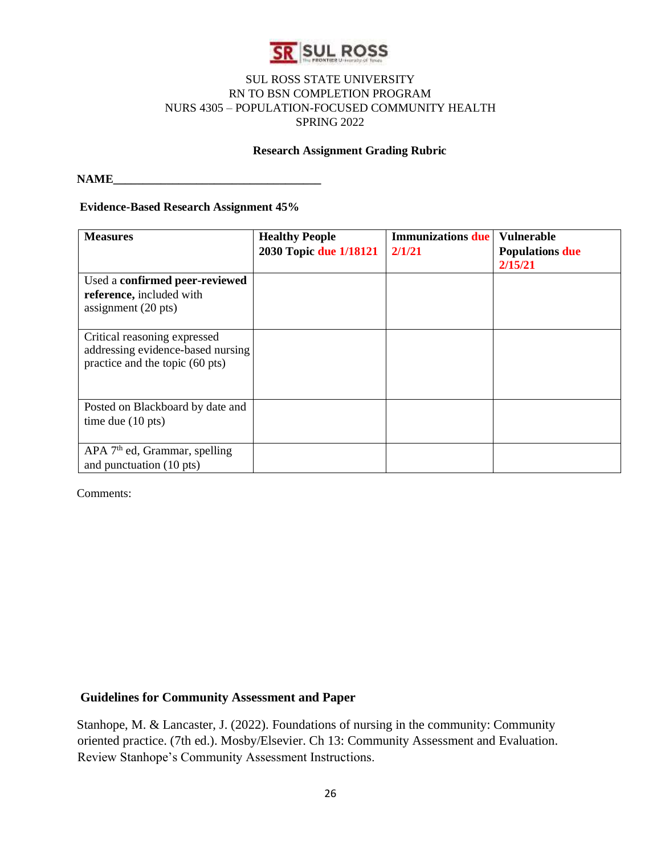

#### **Research Assignment Grading Rubric**

 $NAME$ 

#### **Evidence-Based Research Assignment 45%**

| <b>Measures</b>                           | <b>Healthy People</b>  | <b>Immunizations</b> due | <b>Vulnerable</b>      |
|-------------------------------------------|------------------------|--------------------------|------------------------|
|                                           | 2030 Topic due 1/18121 | 2/1/21                   | <b>Populations due</b> |
|                                           |                        |                          | 2/15/21                |
| Used a confirmed peer-reviewed            |                        |                          |                        |
| reference, included with                  |                        |                          |                        |
| assignment $(20 \text{ pts})$             |                        |                          |                        |
|                                           |                        |                          |                        |
| Critical reasoning expressed              |                        |                          |                        |
| addressing evidence-based nursing         |                        |                          |                        |
| practice and the topic (60 pts)           |                        |                          |                        |
|                                           |                        |                          |                        |
|                                           |                        |                          |                        |
| Posted on Blackboard by date and          |                        |                          |                        |
| time due $(10 \text{ pts})$               |                        |                          |                        |
|                                           |                        |                          |                        |
| APA 7 <sup>th</sup> ed, Grammar, spelling |                        |                          |                        |
| and punctuation (10 pts)                  |                        |                          |                        |

Comments:

#### **Guidelines for Community Assessment and Paper**

Stanhope, M. & Lancaster, J. (2022). Foundations of nursing in the community: Community oriented practice. (7th ed.). Mosby/Elsevier. Ch 13: Community Assessment and Evaluation. Review Stanhope's Community Assessment Instructions.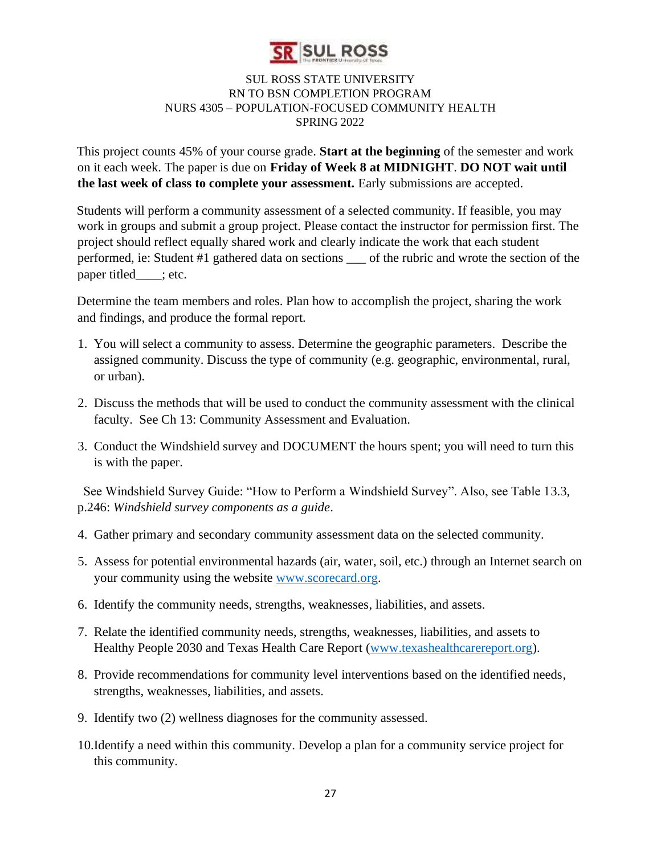

This project counts 45% of your course grade. **Start at the beginning** of the semester and work on it each week. The paper is due on **Friday of Week 8 at MIDNIGHT**. **DO NOT wait until the last week of class to complete your assessment.** Early submissions are accepted.

Students will perform a community assessment of a selected community. If feasible, you may work in groups and submit a group project. Please contact the instructor for permission first. The project should reflect equally shared work and clearly indicate the work that each student performed, ie: Student #1 gathered data on sections \_\_\_ of the rubric and wrote the section of the paper titled : etc.

Determine the team members and roles. Plan how to accomplish the project, sharing the work and findings, and produce the formal report.

- 1. You will select a community to assess. Determine the geographic parameters. Describe the assigned community. Discuss the type of community (e.g. geographic, environmental, rural, or urban).
- 2. Discuss the methods that will be used to conduct the community assessment with the clinical faculty. See Ch 13: Community Assessment and Evaluation.
- 3. Conduct the Windshield survey and DOCUMENT the hours spent; you will need to turn this is with the paper.

 See Windshield Survey Guide: "How to Perform a Windshield Survey". Also, see Table 13.3, p.246: *Windshield survey components as a guide*.

- 4. Gather primary and secondary community assessment data on the selected community.
- 5. Assess for potential environmental hazards (air, water, soil, etc.) through an Internet search on your community using the website [www.scorecard.org.](http://www.scorecard.org/)
- 6. Identify the community needs, strengths, weaknesses, liabilities, and assets.
- 7. Relate the identified community needs, strengths, weaknesses, liabilities, and assets to Healthy People 2030 and Texas Health Care Report [\(www.texashealthcarereport.org\).](http://www.texashealthcarereport.org/)
- 8. Provide recommendations for community level interventions based on the identified needs, strengths, weaknesses, liabilities, and assets.
- 9. Identify two (2) wellness diagnoses for the community assessed.
- 10.Identify a need within this community. Develop a plan for a community service project for this community.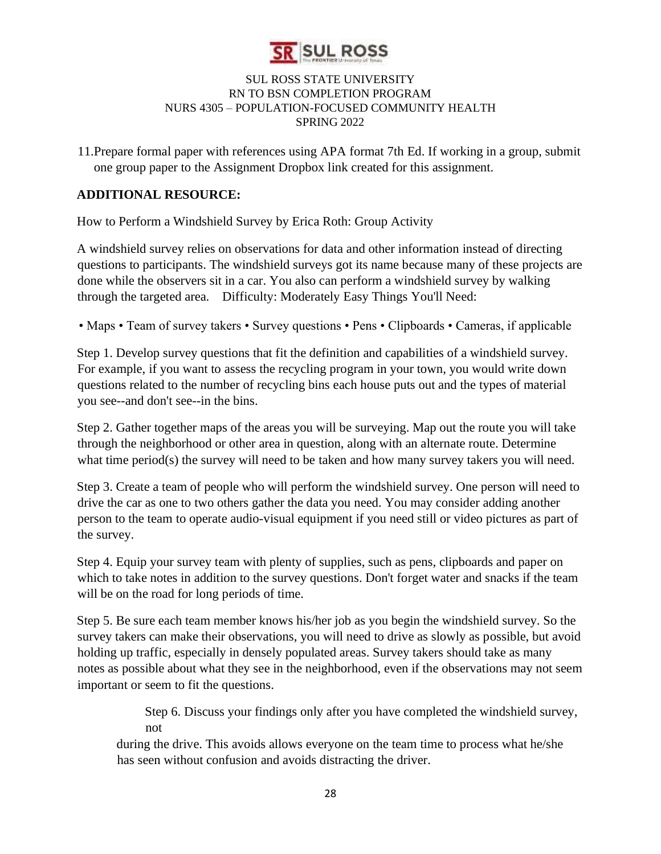

11.Prepare formal paper with references using APA format 7th Ed. If working in a group, submit one group paper to the Assignment Dropbox link created for this assignment.

# **ADDITIONAL RESOURCE:**

How to Perform a Windshield Survey by Erica Roth: Group Activity

A windshield survey relies on observations for data and other information instead of directing questions to participants. The windshield surveys got its name because many of these projects are done while the observers sit in a car. You also can perform a windshield survey by walking through the targeted area. Difficulty: Moderately Easy Things You'll Need:

• Maps • Team of survey takers • Survey questions • Pens • Clipboards • Cameras, if applicable

Step 1. Develop survey questions that fit the definition and capabilities of a windshield survey. For example, if you want to assess the recycling program in your town, you would write down questions related to the number of recycling bins each house puts out and the types of material you see--and don't see--in the bins.

Step 2. Gather together maps of the areas you will be surveying. Map out the route you will take through the neighborhood or other area in question, along with an alternate route. Determine what time period(s) the survey will need to be taken and how many survey takers you will need.

Step 3. Create a team of people who will perform the windshield survey. One person will need to drive the car as one to two others gather the data you need. You may consider adding another person to the team to operate audio-visual equipment if you need still or video pictures as part of the survey.

Step 4. Equip your survey team with plenty of supplies, such as pens, clipboards and paper on which to take notes in addition to the survey questions. Don't forget water and snacks if the team will be on the road for long periods of time.

Step 5. Be sure each team member knows his/her job as you begin the windshield survey. So the survey takers can make their observations, you will need to drive as slowly as possible, but avoid holding up traffic, especially in densely populated areas. Survey takers should take as many notes as possible about what they see in the neighborhood, even if the observations may not seem important or seem to fit the questions.

> Step 6. Discuss your findings only after you have completed the windshield survey, not

during the drive. This avoids allows everyone on the team time to process what he/she has seen without confusion and avoids distracting the driver.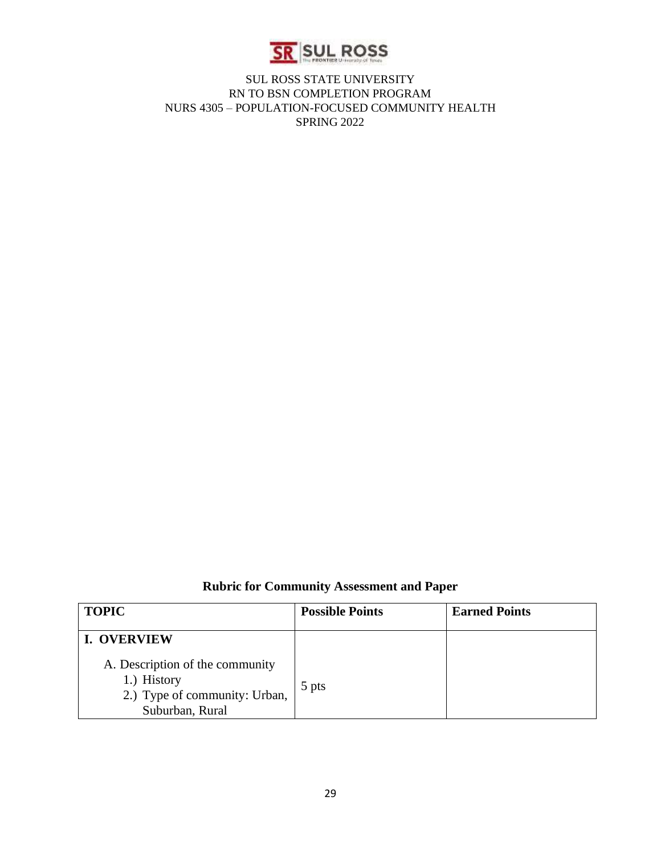

**Rubric for Community Assessment and Paper** 

| <b>TOPIC</b>                                                                                       | <b>Possible Points</b> | <b>Earned Points</b> |
|----------------------------------------------------------------------------------------------------|------------------------|----------------------|
| <b>I. OVERVIEW</b>                                                                                 |                        |                      |
| A. Description of the community<br>1.) History<br>2.) Type of community: Urban,<br>Suburban, Rural | 5 pts                  |                      |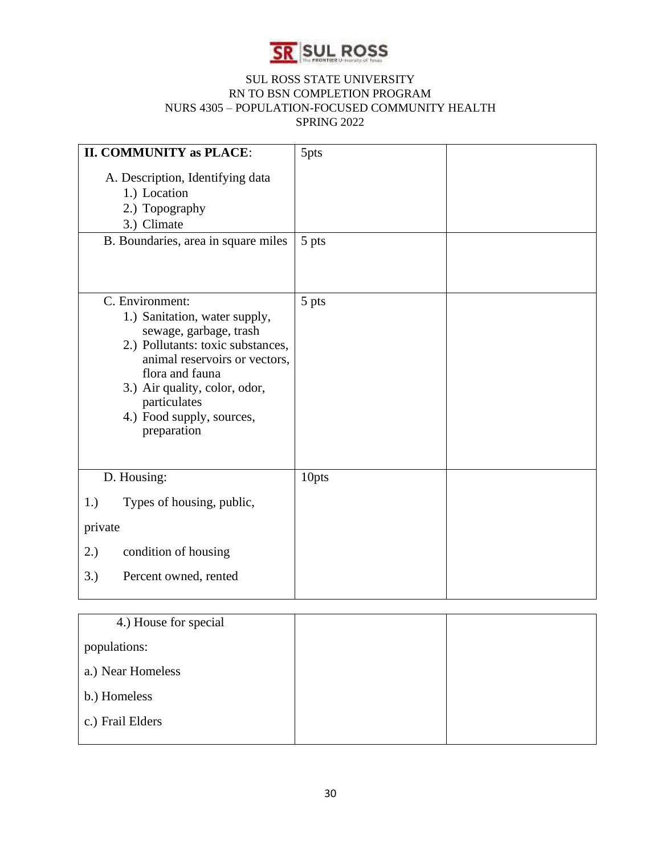

| <b>II. COMMUNITY as PLACE:</b>                                                                                                                                                                                                                                   | 5pts  |  |
|------------------------------------------------------------------------------------------------------------------------------------------------------------------------------------------------------------------------------------------------------------------|-------|--|
| A. Description, Identifying data<br>1.) Location<br>2.) Topography<br>3.) Climate<br>B. Boundaries, area in square miles                                                                                                                                         | 5 pts |  |
| C. Environment:<br>1.) Sanitation, water supply,<br>sewage, garbage, trash<br>2.) Pollutants: toxic substances,<br>animal reservoirs or vectors,<br>flora and fauna<br>3.) Air quality, color, odor,<br>particulates<br>4.) Food supply, sources,<br>preparation | 5 pts |  |
| D. Housing:                                                                                                                                                                                                                                                      | 10pts |  |
| Types of housing, public,<br>1.)                                                                                                                                                                                                                                 |       |  |
| private                                                                                                                                                                                                                                                          |       |  |
| condition of housing<br>2.)                                                                                                                                                                                                                                      |       |  |
| Percent owned, rented<br>3.)                                                                                                                                                                                                                                     |       |  |

| 4.) House for special |  |
|-----------------------|--|
| populations:          |  |
| a.) Near Homeless     |  |
| b.) Homeless          |  |
| c.) Frail Elders      |  |
|                       |  |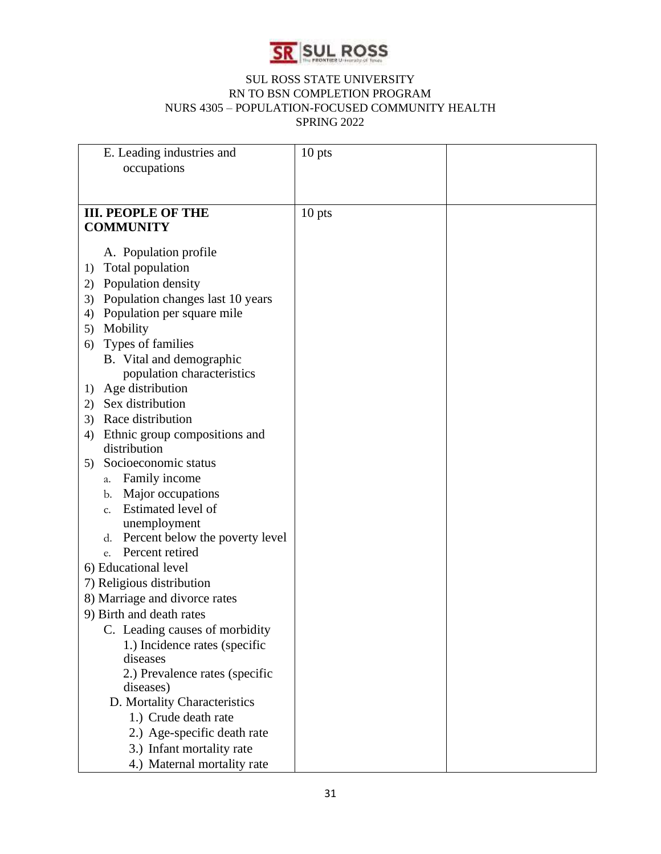

| E. Leading industries and              | 10 pts   |  |
|----------------------------------------|----------|--|
| occupations                            |          |  |
|                                        |          |  |
|                                        |          |  |
| <b>III. PEOPLE OF THE</b>              | $10$ pts |  |
| <b>COMMUNITY</b>                       |          |  |
|                                        |          |  |
| A. Population profile                  |          |  |
| Total population<br>1)                 |          |  |
| Population density<br>2)               |          |  |
| Population changes last 10 years<br>3) |          |  |
| Population per square mile<br>4)       |          |  |
| Mobility<br>5)                         |          |  |
| Types of families<br>6)                |          |  |
| B. Vital and demographic               |          |  |
| population characteristics             |          |  |
| Age distribution<br>1)                 |          |  |
| Sex distribution<br>2)                 |          |  |
| Race distribution<br>3)                |          |  |
| Ethnic group compositions and<br>4)    |          |  |
| distribution                           |          |  |
| Socioeconomic status<br>5)             |          |  |
| Family income<br>a.                    |          |  |
| Major occupations<br>b.                |          |  |
| Estimated level of<br>$C_{\star}$      |          |  |
| unemployment                           |          |  |
| Percent below the poverty level<br>d.  |          |  |
| Percent retired<br>e.                  |          |  |
| 6) Educational level                   |          |  |
| 7) Religious distribution              |          |  |
| 8) Marriage and divorce rates          |          |  |
| 9) Birth and death rates               |          |  |
| C. Leading causes of morbidity         |          |  |
| 1.) Incidence rates (specific          |          |  |
| diseases                               |          |  |
| 2.) Prevalence rates (specific         |          |  |
| diseases)                              |          |  |
| D. Mortality Characteristics           |          |  |
| 1.) Crude death rate                   |          |  |
| 2.) Age-specific death rate            |          |  |
| 3.) Infant mortality rate              |          |  |
| 4.) Maternal mortality rate            |          |  |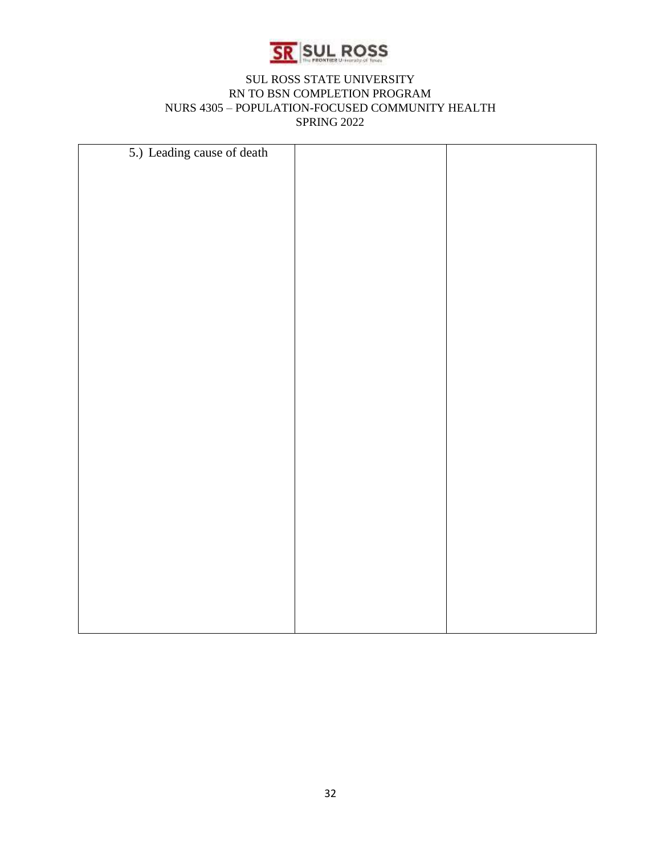

| 5.) Leading cause of death |  |
|----------------------------|--|
|                            |  |
|                            |  |
|                            |  |
|                            |  |
|                            |  |
|                            |  |
|                            |  |
|                            |  |
|                            |  |
|                            |  |
|                            |  |
|                            |  |
|                            |  |
|                            |  |
|                            |  |
|                            |  |
|                            |  |
|                            |  |
|                            |  |
|                            |  |
|                            |  |
|                            |  |
|                            |  |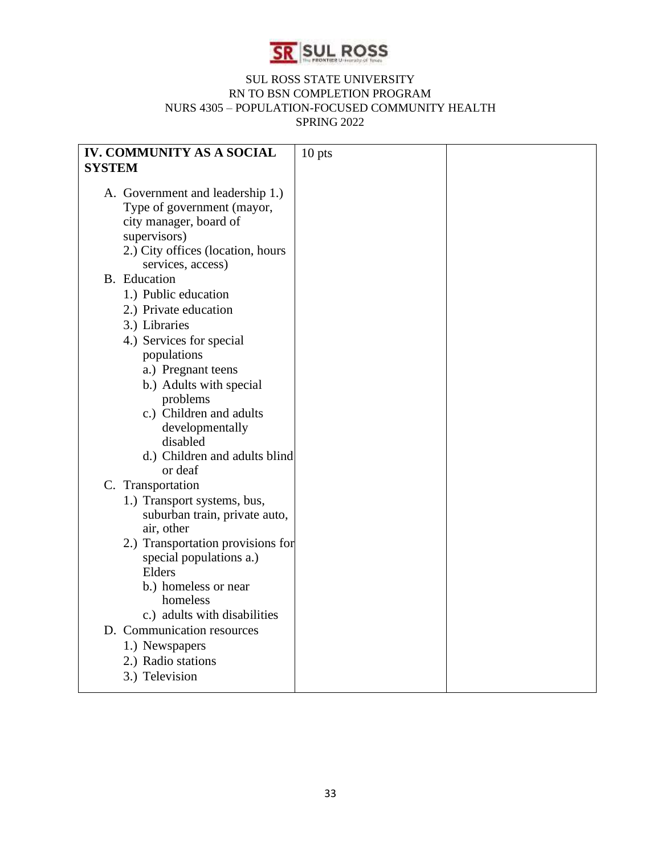

| <b>IV. COMMUNITY AS A SOCIAL</b>                                                                                                                                   | $10$ pts |  |
|--------------------------------------------------------------------------------------------------------------------------------------------------------------------|----------|--|
| <b>SYSTEM</b>                                                                                                                                                      |          |  |
| A. Government and leadership 1.)<br>Type of government (mayor,<br>city manager, board of<br>supervisors)<br>2.) City offices (location, hours<br>services, access) |          |  |
| <b>B.</b> Education                                                                                                                                                |          |  |
| 1.) Public education                                                                                                                                               |          |  |
| 2.) Private education                                                                                                                                              |          |  |
| 3.) Libraries                                                                                                                                                      |          |  |
| 4.) Services for special                                                                                                                                           |          |  |
| populations                                                                                                                                                        |          |  |
| a.) Pregnant teens                                                                                                                                                 |          |  |
| b.) Adults with special                                                                                                                                            |          |  |
| problems<br>c.) Children and adults                                                                                                                                |          |  |
| developmentally                                                                                                                                                    |          |  |
| disabled                                                                                                                                                           |          |  |
| d.) Children and adults blind                                                                                                                                      |          |  |
| or deaf                                                                                                                                                            |          |  |
| C. Transportation                                                                                                                                                  |          |  |
| 1.) Transport systems, bus,                                                                                                                                        |          |  |
| suburban train, private auto,<br>air, other                                                                                                                        |          |  |
| 2.) Transportation provisions for                                                                                                                                  |          |  |
| special populations a.)                                                                                                                                            |          |  |
| Elders                                                                                                                                                             |          |  |
| b.) homeless or near                                                                                                                                               |          |  |
| homeless                                                                                                                                                           |          |  |
| c.) adults with disabilities                                                                                                                                       |          |  |
| D. Communication resources                                                                                                                                         |          |  |
| 1.) Newspapers                                                                                                                                                     |          |  |
| 2.) Radio stations                                                                                                                                                 |          |  |
| 3.) Television                                                                                                                                                     |          |  |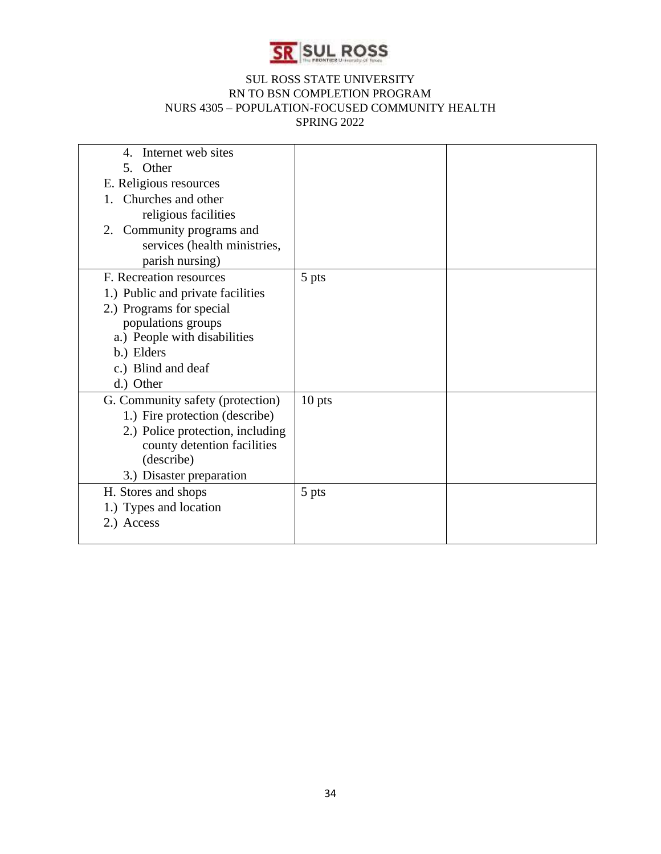

| Internet web sites<br>$\mathcal{A}_{\cdot}$ |          |  |
|---------------------------------------------|----------|--|
| 5. Other                                    |          |  |
| E. Religious resources                      |          |  |
| Churches and other                          |          |  |
| religious facilities                        |          |  |
| 2. Community programs and                   |          |  |
| services (health ministries,                |          |  |
| parish nursing)                             |          |  |
| F. Recreation resources                     | 5 pts    |  |
| 1.) Public and private facilities           |          |  |
| 2.) Programs for special                    |          |  |
| populations groups                          |          |  |
| a.) People with disabilities                |          |  |
| b.) Elders                                  |          |  |
| c.) Blind and deaf                          |          |  |
| d.) Other                                   |          |  |
| G. Community safety (protection)            | $10$ pts |  |
| 1.) Fire protection (describe)              |          |  |
| 2.) Police protection, including            |          |  |
| county detention facilities                 |          |  |
| (describe)                                  |          |  |
| 3.) Disaster preparation                    |          |  |
| H. Stores and shops                         | 5 pts    |  |
| 1.) Types and location                      |          |  |
| 2.) Access                                  |          |  |
|                                             |          |  |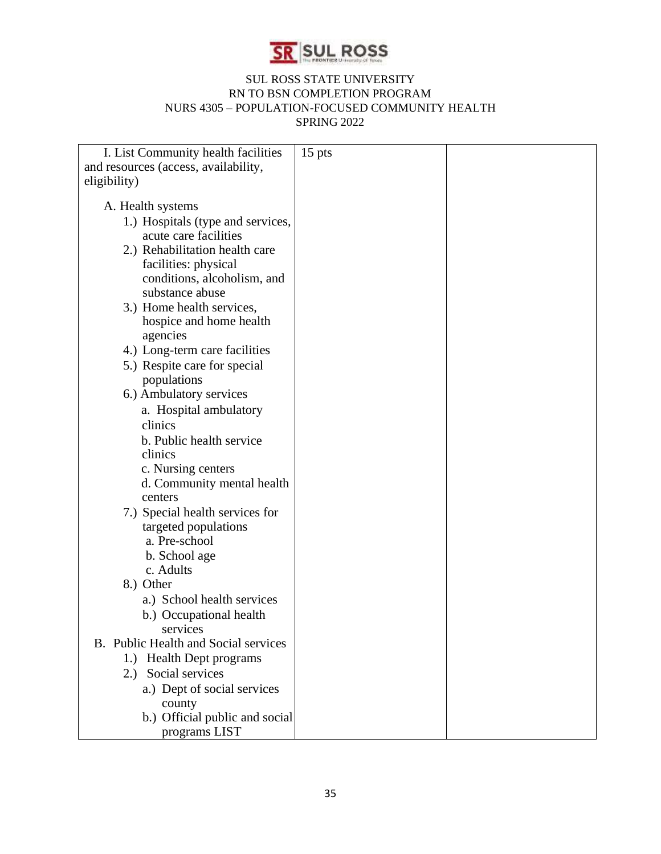

| I. List Community health facilities  | $15$ pts |  |
|--------------------------------------|----------|--|
| and resources (access, availability, |          |  |
| eligibility)                         |          |  |
|                                      |          |  |
| A. Health systems                    |          |  |
| 1.) Hospitals (type and services,    |          |  |
| acute care facilities                |          |  |
| 2.) Rehabilitation health care       |          |  |
| facilities: physical                 |          |  |
| conditions, alcoholism, and          |          |  |
| substance abuse                      |          |  |
| 3.) Home health services,            |          |  |
| hospice and home health              |          |  |
| agencies                             |          |  |
| 4.) Long-term care facilities        |          |  |
| 5.) Respite care for special         |          |  |
| populations                          |          |  |
| 6.) Ambulatory services              |          |  |
| a. Hospital ambulatory               |          |  |
| clinics                              |          |  |
| b. Public health service             |          |  |
| clinics                              |          |  |
| c. Nursing centers                   |          |  |
| d. Community mental health           |          |  |
| centers                              |          |  |
| 7.) Special health services for      |          |  |
| targeted populations                 |          |  |
| a. Pre-school                        |          |  |
| b. School age                        |          |  |
| c. Adults                            |          |  |
| 8.) Other                            |          |  |
| a.) School health services           |          |  |
| b.) Occupational health              |          |  |
| services                             |          |  |
| B. Public Health and Social services |          |  |
| 1.) Health Dept programs             |          |  |
| 2.) Social services                  |          |  |
| a.) Dept of social services          |          |  |
| county                               |          |  |
| b.) Official public and social       |          |  |
| programs LIST                        |          |  |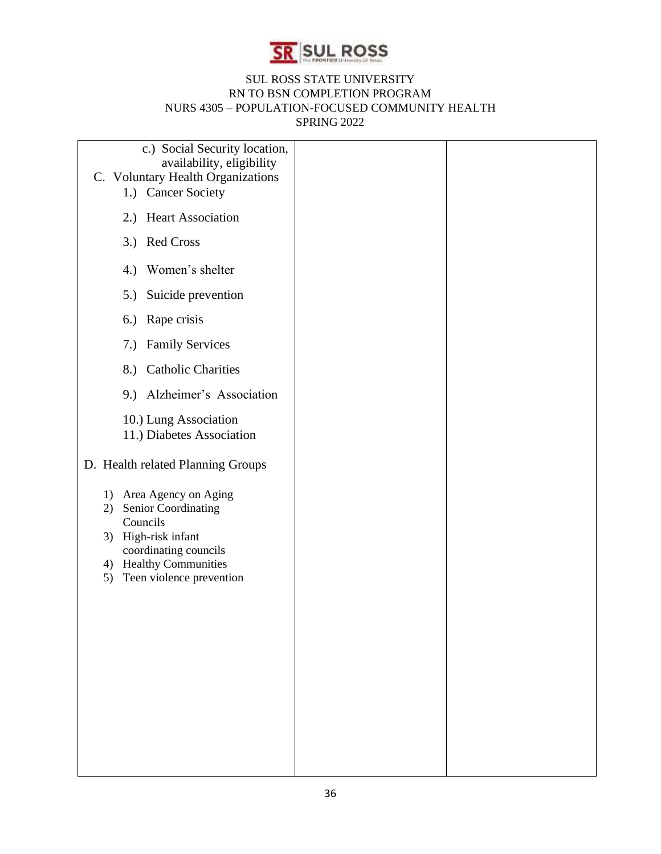

| c.) Social Security location,<br>availability, eligibility<br>C. Voluntary Health Organizations<br>1.) Cancer Society                                                     |  |
|---------------------------------------------------------------------------------------------------------------------------------------------------------------------------|--|
| 2.) Heart Association                                                                                                                                                     |  |
| 3.) Red Cross                                                                                                                                                             |  |
| 4.) Women's shelter                                                                                                                                                       |  |
| Suicide prevention<br>5.)                                                                                                                                                 |  |
| 6.) Rape crisis                                                                                                                                                           |  |
| 7.) Family Services                                                                                                                                                       |  |
| 8.) Catholic Charities                                                                                                                                                    |  |
| 9.) Alzheimer's Association                                                                                                                                               |  |
| 10.) Lung Association<br>11.) Diabetes Association                                                                                                                        |  |
| D. Health related Planning Groups                                                                                                                                         |  |
| 1) Area Agency on Aging<br>2) Senior Coordinating<br>Councils<br>3) High-risk infant<br>coordinating councils<br>4) Healthy Communities<br>Teen violence prevention<br>5) |  |
|                                                                                                                                                                           |  |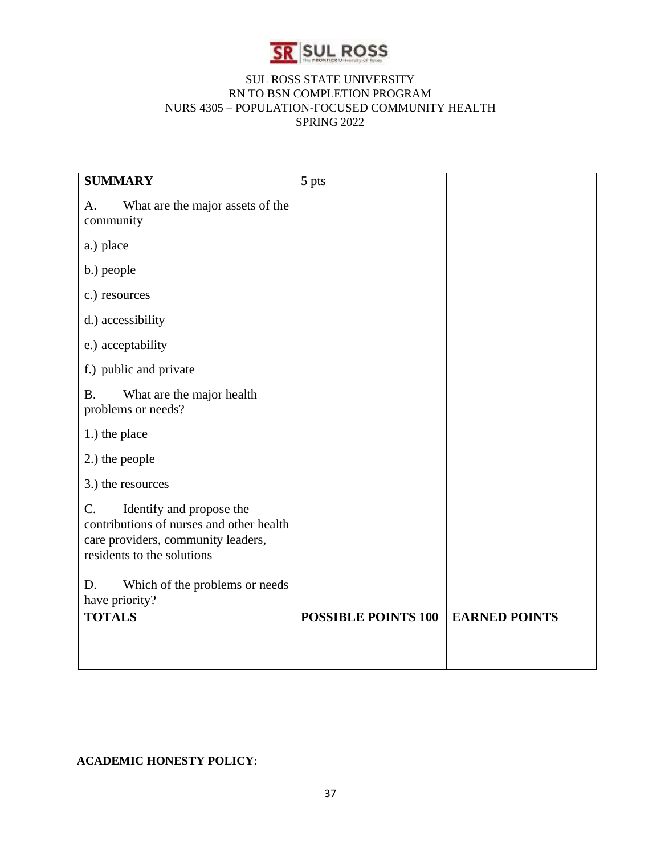

| <b>SUMMARY</b>                                                                                                                                              | 5 pts                      |                      |
|-------------------------------------------------------------------------------------------------------------------------------------------------------------|----------------------------|----------------------|
| What are the major assets of the<br>А.<br>community                                                                                                         |                            |                      |
| a.) place                                                                                                                                                   |                            |                      |
| b.) people                                                                                                                                                  |                            |                      |
| c.) resources                                                                                                                                               |                            |                      |
| d.) accessibility                                                                                                                                           |                            |                      |
| e.) acceptability                                                                                                                                           |                            |                      |
| f.) public and private                                                                                                                                      |                            |                      |
| What are the major health<br><b>B.</b><br>problems or needs?                                                                                                |                            |                      |
| 1.) the place                                                                                                                                               |                            |                      |
| 2.) the people                                                                                                                                              |                            |                      |
| 3.) the resources                                                                                                                                           |                            |                      |
| $\mathcal{C}$ .<br>Identify and propose the<br>contributions of nurses and other health<br>care providers, community leaders,<br>residents to the solutions |                            |                      |
| Which of the problems or needs<br>D.<br>have priority?                                                                                                      |                            |                      |
| <b>TOTALS</b>                                                                                                                                               | <b>POSSIBLE POINTS 100</b> | <b>EARNED POINTS</b> |

# **ACADEMIC HONESTY POLICY**: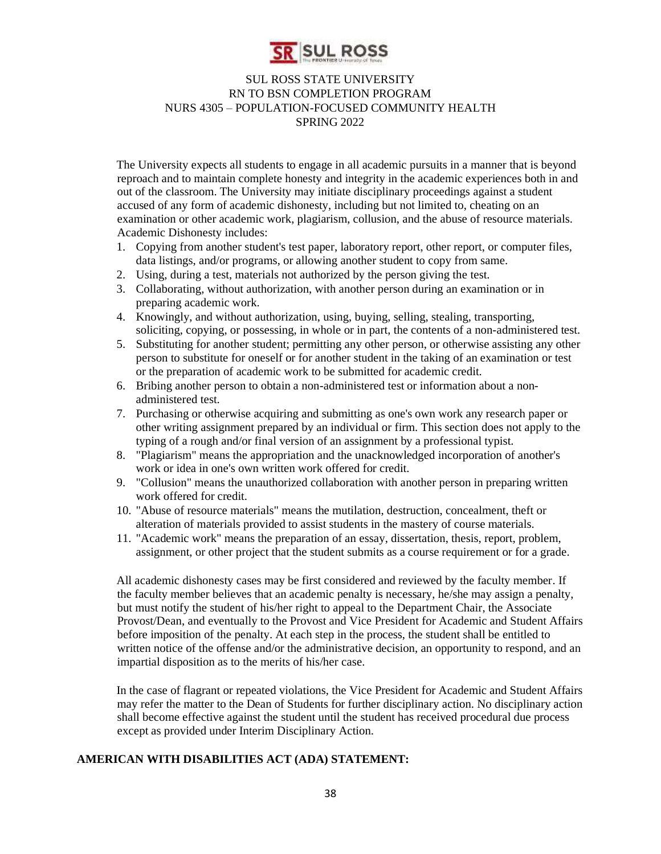

The University expects all students to engage in all academic pursuits in a manner that is beyond reproach and to maintain complete honesty and integrity in the academic experiences both in and out of the classroom. The University may initiate disciplinary proceedings against a student accused of any form of academic dishonesty, including but not limited to, cheating on an examination or other academic work, plagiarism, collusion, and the abuse of resource materials. Academic Dishonesty includes:

- 1. Copying from another student's test paper, laboratory report, other report, or computer files, data listings, and/or programs, or allowing another student to copy from same.
- 2. Using, during a test, materials not authorized by the person giving the test.
- 3. Collaborating, without authorization, with another person during an examination or in preparing academic work.
- 4. Knowingly, and without authorization, using, buying, selling, stealing, transporting, soliciting, copying, or possessing, in whole or in part, the contents of a non-administered test.
- 5. Substituting for another student; permitting any other person, or otherwise assisting any other person to substitute for oneself or for another student in the taking of an examination or test or the preparation of academic work to be submitted for academic credit.
- 6. Bribing another person to obtain a non-administered test or information about a nonadministered test.
- 7. Purchasing or otherwise acquiring and submitting as one's own work any research paper or other writing assignment prepared by an individual or firm. This section does not apply to the typing of a rough and/or final version of an assignment by a professional typist.
- 8. "Plagiarism" means the appropriation and the unacknowledged incorporation of another's work or idea in one's own written work offered for credit.
- 9. "Collusion" means the unauthorized collaboration with another person in preparing written work offered for credit.
- 10. "Abuse of resource materials" means the mutilation, destruction, concealment, theft or alteration of materials provided to assist students in the mastery of course materials.
- 11. "Academic work" means the preparation of an essay, dissertation, thesis, report, problem, assignment, or other project that the student submits as a course requirement or for a grade.

All academic dishonesty cases may be first considered and reviewed by the faculty member. If the faculty member believes that an academic penalty is necessary, he/she may assign a penalty, but must notify the student of his/her right to appeal to the Department Chair, the Associate Provost/Dean, and eventually to the Provost and Vice President for Academic and Student Affairs before imposition of the penalty. At each step in the process, the student shall be entitled to written notice of the offense and/or the administrative decision, an opportunity to respond, and an impartial disposition as to the merits of his/her case.

In the case of flagrant or repeated violations, the Vice President for Academic and Student Affairs may refer the matter to the Dean of Students for further disciplinary action. No disciplinary action shall become effective against the student until the student has received procedural due process except as provided under Interim Disciplinary Action.

# **AMERICAN WITH DISABILITIES ACT (ADA) STATEMENT:**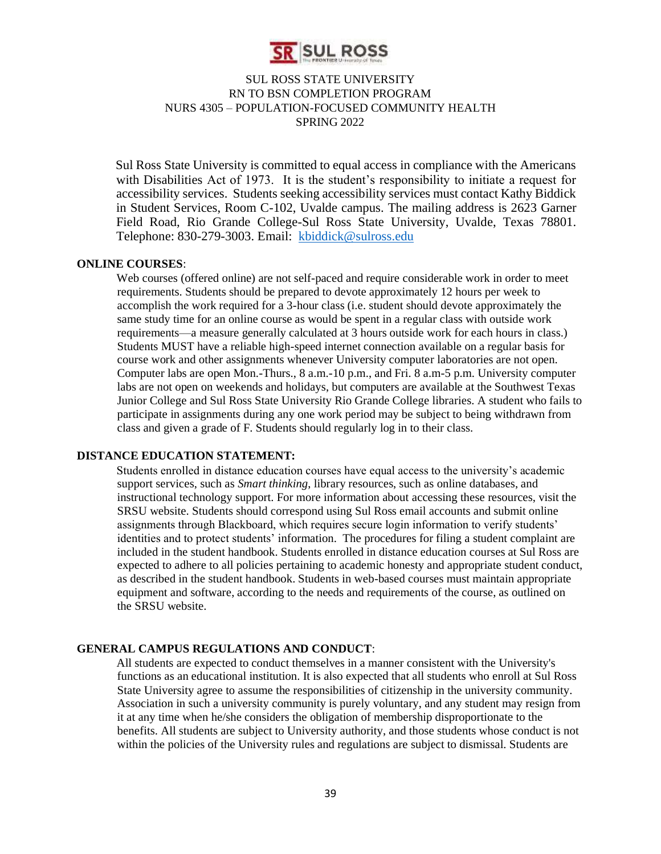

Sul Ross State University is committed to equal access in compliance with the Americans with Disabilities Act of 1973. It is the student's responsibility to initiate a request for accessibility services. Students seeking accessibility services must contact Kathy Biddick in Student Services, Room C-102, Uvalde campus. The mailing address is 2623 Garner Field Road, Rio Grande College-Sul Ross State University, Uvalde, Texas 78801. Telephone: 830-279-3003. Email: kbiddick@sulross.edu

#### **ONLINE COURSES**:

Web courses (offered online) are not self-paced and require considerable work in order to meet requirements. Students should be prepared to devote approximately 12 hours per week to accomplish the work required for a 3-hour class (i.e. student should devote approximately the same study time for an online course as would be spent in a regular class with outside work requirements—a measure generally calculated at 3 hours outside work for each hours in class.) Students MUST have a reliable high-speed internet connection available on a regular basis for course work and other assignments whenever University computer laboratories are not open. Computer labs are open Mon.-Thurs., 8 a.m.-10 p.m., and Fri. 8 a.m-5 p.m. University computer labs are not open on weekends and holidays, but computers are available at the Southwest Texas Junior College and Sul Ross State University Rio Grande College libraries. A student who fails to participate in assignments during any one work period may be subject to being withdrawn from class and given a grade of F. Students should regularly log in to their class.

#### **DISTANCE EDUCATION STATEMENT:**

Students enrolled in distance education courses have equal access to the university's academic support services, such as *Smart thinking*, library resources, such as online databases, and instructional technology support. For more information about accessing these resources, visit the SRSU website. Students should correspond using Sul Ross email accounts and submit online assignments through Blackboard, which requires secure login information to verify students' identities and to protect students' information. The procedures for filing a student complaint are included in the student handbook. Students enrolled in distance education courses at Sul Ross are expected to adhere to all policies pertaining to academic honesty and appropriate student conduct, as described in the student handbook. Students in web-based courses must maintain appropriate equipment and software, according to the needs and requirements of the course, as outlined on the SRSU website.

#### **GENERAL CAMPUS REGULATIONS AND CONDUCT**:

All students are expected to conduct themselves in a manner consistent with the University's functions as an educational institution. It is also expected that all students who enroll at Sul Ross State University agree to assume the responsibilities of citizenship in the university community. Association in such a university community is purely voluntary, and any student may resign from it at any time when he/she considers the obligation of membership disproportionate to the benefits. All students are subject to University authority, and those students whose conduct is not within the policies of the University rules and regulations are subject to dismissal. Students are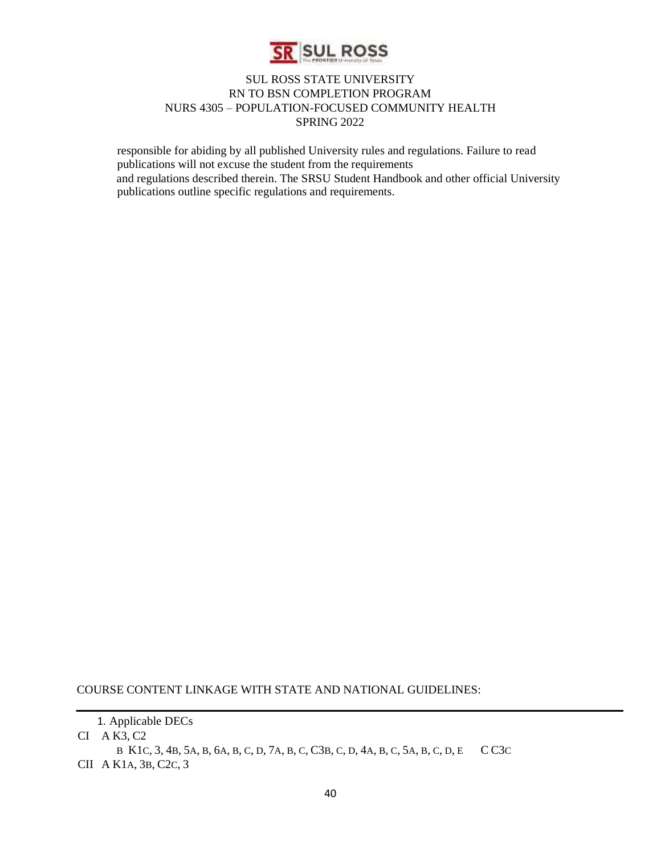

responsible for abiding by all published University rules and regulations. Failure to read publications will not excuse the student from the requirements and regulations described therein. The SRSU Student Handbook and other official University publications outline specific regulations and requirements.

COURSE CONTENT LINKAGE WITH STATE AND NATIONAL GUIDELINES:

CI A K3, C2

B K1C, 3, 4B, 5A, B, 6A, B, C, D, 7A, B, C, C3B, C, D, 4A, B, C, 5A, B, C, D, E C C3C CII A K1A, 3B, C2C, 3

<sup>1.</sup> Applicable DECs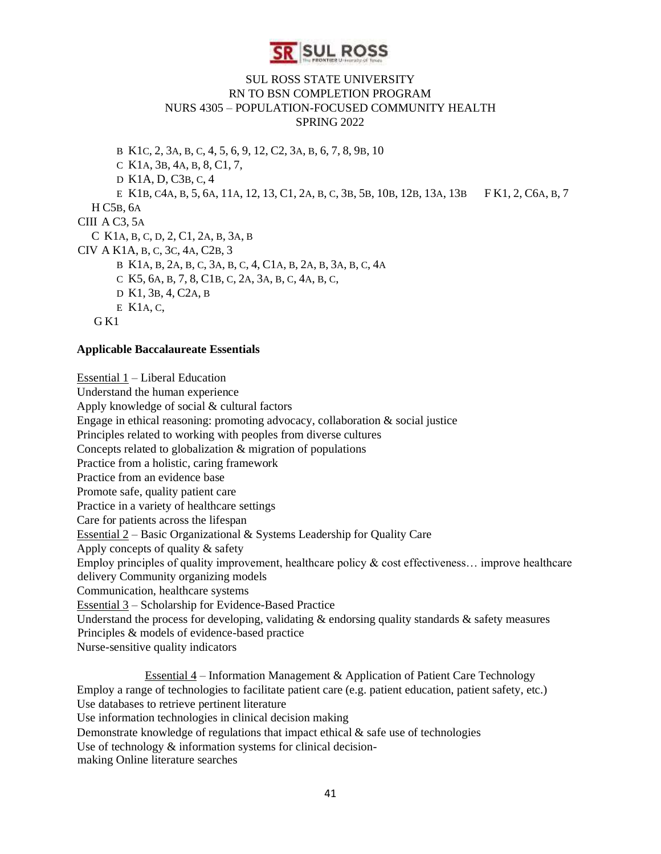

B K1C, 2, 3A, B, C, 4, 5, 6, 9, 12, C2, 3A, B, 6, 7, 8, 9B, 10 C K1A, 3B, 4A, B, 8, C1, 7, D K1A, D, C3B, C, 4 E K1B, C4A, B, 5, 6A, 11A, 12, 13, C1, 2A, B, C, 3B, 5B, 10B, 12B, 13A, 13B F K1, 2, C6A, B, 7 H C5B, 6A CIII A C3, 5A C K1A, B, C, D, 2, C1, 2A, B, 3A, B CIV A K1A, B, C, 3C, 4A, C2B, 3 B K1A, B, 2A, B, C, 3A, B, C, 4, C1A, B, 2A, B, 3A, B, C, 4A C K5, 6A, B, 7, 8, C1B, C, 2A, 3A, B, C, 4A, B, C, D K1, 3B, 4, C2A, B E K1A, C, G<sub>K1</sub>

#### **Applicable Baccalaureate Essentials**

Essential 1 – Liberal Education Understand the human experience Apply knowledge of social & cultural factors Engage in ethical reasoning: promoting advocacy, collaboration & social justice Principles related to working with peoples from diverse cultures Concepts related to globalization & migration of populations Practice from a holistic, caring framework Practice from an evidence base Promote safe, quality patient care Practice in a variety of healthcare settings Care for patients across the lifespan Essential  $2 -$ Basic Organizational & Systems Leadership for Quality Care Apply concepts of quality & safety Employ principles of quality improvement, healthcare policy  $\&$  cost effectiveness... improve healthcare delivery Community organizing models Communication, healthcare systems Essential 3 – Scholarship for Evidence-Based Practice Understand the process for developing, validating  $\&$  endorsing quality standards  $\&$  safety measures Principles & models of evidence-based practice Nurse-sensitive quality indicators

Essential 4 – Information Management & Application of Patient Care Technology Employ a range of technologies to facilitate patient care (e.g. patient education, patient safety, etc.) Use databases to retrieve pertinent literature Use information technologies in clinical decision making Demonstrate knowledge of regulations that impact ethical  $\&$  safe use of technologies Use of technology  $\&$  information systems for clinical decisionmaking Online literature searches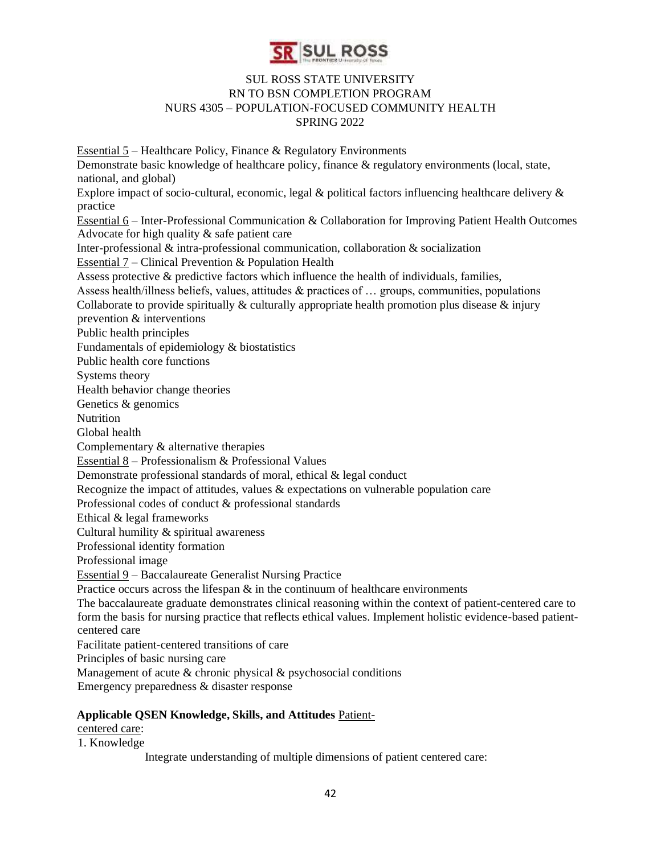

Essential 5 – Healthcare Policy, Finance & Regulatory Environments Demonstrate basic knowledge of healthcare policy, finance & regulatory environments (local, state, national, and global) Explore impact of socio-cultural, economic, legal  $\&$  political factors influencing healthcare delivery  $\&$ practice Essential 6 – Inter-Professional Communication & Collaboration for Improving Patient Health Outcomes Advocate for high quality & safe patient care Inter-professional & intra-professional communication, collaboration & socialization Essential 7 – Clinical Prevention & Population Health Assess protective & predictive factors which influence the health of individuals, families, Assess health/illness beliefs, values, attitudes & practices of … groups, communities, populations Collaborate to provide spiritually  $\&$  culturally appropriate health promotion plus disease  $\&$  injury prevention & interventions Public health principles Fundamentals of epidemiology & biostatistics Public health core functions Systems theory Health behavior change theories Genetics & genomics **Nutrition** Global health Complementary & alternative therapies Essential 8 – Professionalism & Professional Values Demonstrate professional standards of moral, ethical & legal conduct Recognize the impact of attitudes, values  $\&$  expectations on vulnerable population care Professional codes of conduct & professional standards Ethical & legal frameworks Cultural humility & spiritual awareness Professional identity formation Professional image Essential 9 – Baccalaureate Generalist Nursing Practice Practice occurs across the lifespan  $\&$  in the continuum of healthcare environments The baccalaureate graduate demonstrates clinical reasoning within the context of patient-centered care to form the basis for nursing practice that reflects ethical values. Implement holistic evidence-based patientcentered care Facilitate patient-centered transitions of care Principles of basic nursing care Management of acute & chronic physical & psychosocial conditions Emergency preparedness & disaster response

#### **Applicable QSEN Knowledge, Skills, and Attitudes** Patient-

centered care:

1. Knowledge

Integrate understanding of multiple dimensions of patient centered care: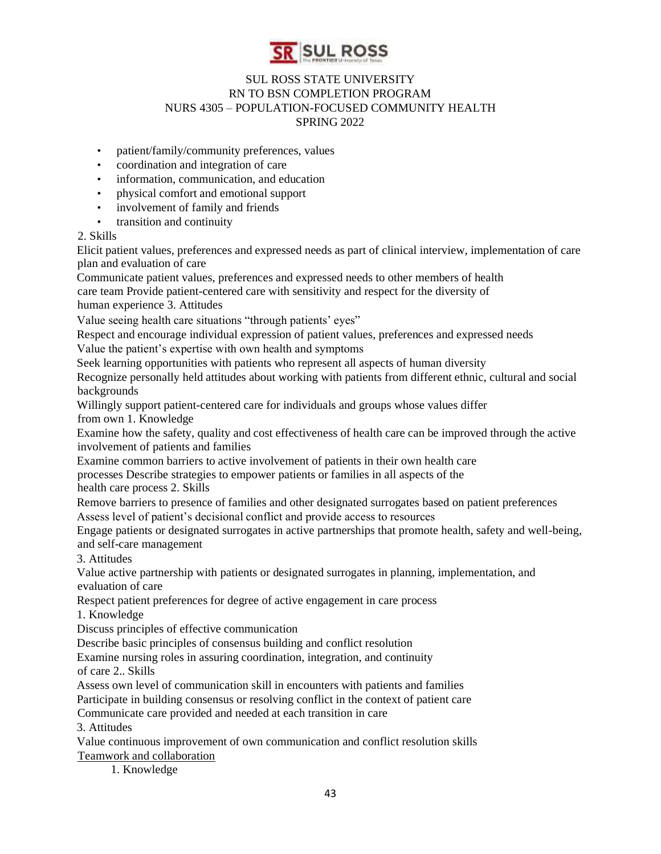

- patient/family/community preferences, values
- coordination and integration of care
- information, communication, and education
- physical comfort and emotional support
- involvement of family and friends
- transition and continuity

#### 2. Skills

Elicit patient values, preferences and expressed needs as part of clinical interview, implementation of care plan and evaluation of care

Communicate patient values, preferences and expressed needs to other members of health care team Provide patient-centered care with sensitivity and respect for the diversity of

human experience 3. Attitudes

Value seeing health care situations "through patients' eyes"

Respect and encourage individual expression of patient values, preferences and expressed needs Value the patient's expertise with own health and symptoms

Seek learning opportunities with patients who represent all aspects of human diversity

Recognize personally held attitudes about working with patients from different ethnic, cultural and social backgrounds

Willingly support patient-centered care for individuals and groups whose values differ from own 1. Knowledge

Examine how the safety, quality and cost effectiveness of health care can be improved through the active involvement of patients and families

Examine common barriers to active involvement of patients in their own health care

processes Describe strategies to empower patients or families in all aspects of the

health care process 2. Skills

Remove barriers to presence of families and other designated surrogates based on patient preferences Assess level of patient's decisional conflict and provide access to resources

Engage patients or designated surrogates in active partnerships that promote health, safety and well-being, and self-care management

3. Attitudes

Value active partnership with patients or designated surrogates in planning, implementation, and evaluation of care

Respect patient preferences for degree of active engagement in care process

1. Knowledge

Discuss principles of effective communication

Describe basic principles of consensus building and conflict resolution

Examine nursing roles in assuring coordination, integration, and continuity of care 2.. Skills

Assess own level of communication skill in encounters with patients and families

Participate in building consensus or resolving conflict in the context of patient care

Communicate care provided and needed at each transition in care

3. Attitudes

Value continuous improvement of own communication and conflict resolution skills Teamwork and collaboration

1. Knowledge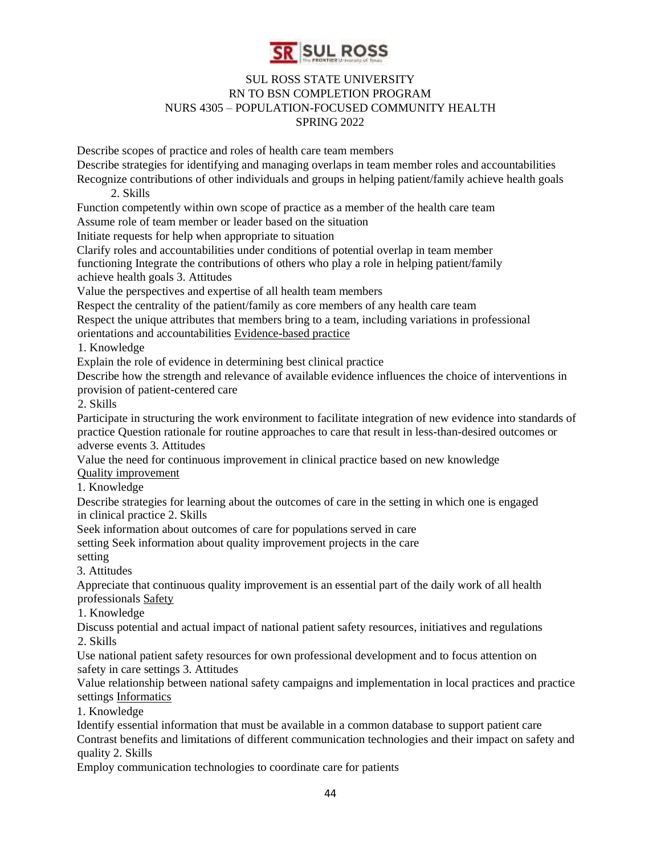

Describe scopes of practice and roles of health care team members Describe strategies for identifying and managing overlaps in team member roles and accountabilities Recognize contributions of other individuals and groups in helping patient/family achieve health goals 2. Skills Function competently within own scope of practice as a member of the health care team Assume role of team member or leader based on the situation Initiate requests for help when appropriate to situation Clarify roles and accountabilities under conditions of potential overlap in team member functioning Integrate the contributions of others who play a role in helping patient/family achieve health goals 3. Attitudes Value the perspectives and expertise of all health team members Respect the centrality of the patient/family as core members of any health care team Respect the unique attributes that members bring to a team, including variations in professional orientations and accountabilities Evidence-based practice 1. Knowledge Explain the role of evidence in determining best clinical practice Describe how the strength and relevance of available evidence influences the choice of interventions in provision of patient-centered care 2. Skills Participate in structuring the work environment to facilitate integration of new evidence into standards of practice Question rationale for routine approaches to care that result in less-than-desired outcomes or adverse events 3. Attitudes Value the need for continuous improvement in clinical practice based on new knowledge Quality improvement 1. Knowledge Describe strategies for learning about the outcomes of care in the setting in which one is engaged in clinical practice 2. Skills Seek information about outcomes of care for populations served in care setting Seek information about quality improvement projects in the care setting 3. Attitudes Appreciate that continuous quality improvement is an essential part of the daily work of all health professionals Safety 1. Knowledge Discuss potential and actual impact of national patient safety resources, initiatives and regulations 2. Skills Use national patient safety resources for own professional development and to focus attention on safety in care settings 3. Attitudes Value relationship between national safety campaigns and implementation in local practices and practice settings Informatics 1. Knowledge Identify essential information that must be available in a common database to support patient care Contrast benefits and limitations of different communication technologies and their impact on safety and quality 2. Skills Employ communication technologies to coordinate care for patients